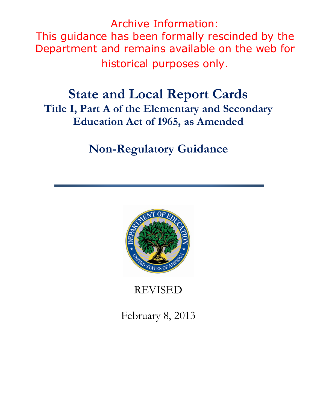Archive Information: This guidance has been formally rescinded by the Department and remains available on the web for historical purposes only.

# **State and Local Report Cards Title I, Part A of the Elementary and Secondary Education Act of 1965, as Amended**

# **Non-Regulatory Guidance**



REVISED

February 8, 2013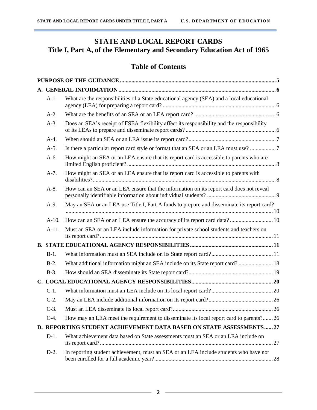# **STATE AND LOCAL REPORT CARDS Title I, Part A, of the Elementary and Secondary Education Act of 1965**

# **Table of Contents**

| $A-1.$  | What are the responsibilities of a State educational agency (SEA) and a local educational  |  |  |  |  |  |
|---------|--------------------------------------------------------------------------------------------|--|--|--|--|--|
| $A-2.$  |                                                                                            |  |  |  |  |  |
| $A-3$ . | Does an SEA's receipt of ESEA flexibility affect its responsibility and the responsibility |  |  |  |  |  |
| $A-4.$  |                                                                                            |  |  |  |  |  |
| $A-5.$  |                                                                                            |  |  |  |  |  |
| $A-6.$  | How might an SEA or an LEA ensure that its report card is accessible to parents who are    |  |  |  |  |  |
| $A-7.$  | How might an SEA or an LEA ensure that its report card is accessible to parents with       |  |  |  |  |  |
| $A-8.$  | How can an SEA or an LEA ensure that the information on its report card does not reveal    |  |  |  |  |  |
| $A-9.$  | May an SEA or an LEA use Title I, Part A funds to prepare and disseminate its report card? |  |  |  |  |  |
| $A-10.$ | How can an SEA or an LEA ensure the accuracy of its report card data? 10                   |  |  |  |  |  |
| $A-11.$ | Must an SEA or an LEA include information for private school students and teachers on      |  |  |  |  |  |
|         |                                                                                            |  |  |  |  |  |
| $B-1$ . |                                                                                            |  |  |  |  |  |
| $B-2$ . | What additional information might an SEA include on its State report card?  18             |  |  |  |  |  |
| $B-3$ . |                                                                                            |  |  |  |  |  |
|         |                                                                                            |  |  |  |  |  |
| $C-1$ . |                                                                                            |  |  |  |  |  |
| $C-2$ . |                                                                                            |  |  |  |  |  |
| $C-3$ . |                                                                                            |  |  |  |  |  |
| $C-4$ . | How may an LEA meet the requirement to disseminate its local report card to parents?26     |  |  |  |  |  |
|         | D. REPORTING STUDENT ACHIEVEMENT DATA BASED ON STATE ASSESSMENTS27                         |  |  |  |  |  |
| $D-1.$  | What achievement data based on State assessments must an SEA or an LEA include on          |  |  |  |  |  |
| $D-2$ . | In reporting student achievement, must an SEA or an LEA include students who have not      |  |  |  |  |  |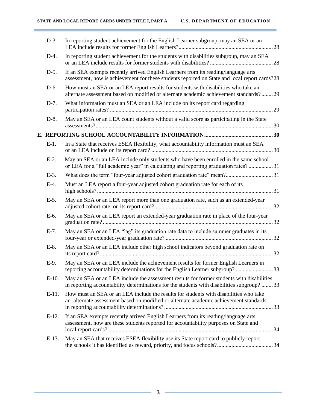| $D-3$ .  | In reporting student achievement for the English Learner subgroup, may an SEA or an                                                                                                     |
|----------|-----------------------------------------------------------------------------------------------------------------------------------------------------------------------------------------|
| $D-4.$   | In reporting student achievement for the students with disabilities subgroup, may an SEA                                                                                                |
| $D-5.$   | If an SEA exempts recently arrived English Learners from its reading/language arts<br>assessment, how is achievement for these students reported on State and local report cards?28     |
| D-6.     | How must an SEA or an LEA report results for students with disabilities who take an<br>alternate assessment based on modified or alternate academic achievement standards?29            |
| $D-7.$   | What information must an SEA or an LEA include on its report card regarding                                                                                                             |
| $D-8$ .  | May an SEA or an LEA count students without a valid score as participating in the State                                                                                                 |
|          |                                                                                                                                                                                         |
| $E-1$ .  | In a State that receives ESEA flexibility, what accountability information must an SEA                                                                                                  |
| $E-2$ .  | May an SEA or an LEA include only students who have been enrolled in the same school<br>or LEA for a "full academic year" in calculating and reporting graduation rates?31              |
| $E-3$ .  | What does the term "four-year adjusted cohort graduation rate" mean?31                                                                                                                  |
| $E-4$ .  | Must an LEA report a four-year adjusted cohort graduation rate for each of its                                                                                                          |
| $E-5$ .  | May an SEA or an LEA report more than one graduation rate, such as an extended-year                                                                                                     |
| E-6.     | May an SEA or an LEA report an extended-year graduation rate in place of the four-year                                                                                                  |
| $E-7$ .  | May an SEA or an LEA "lag" its graduation rate data to include summer graduates in its                                                                                                  |
| $E-8$ .  | May an SEA or an LEA include other high school indicators beyond graduation rate on                                                                                                     |
| E-9.     | May an SEA or an LEA include the achievement results for former English Learners in<br>reporting accountability determinations for the English Learner subgroup?33                      |
| $E-10$ . | May an SEA or an LEA include the assessment results for former students with disabilities<br>in reporting accountability determinations for the students with disabilities subgroup? 33 |
| $E-11$ . | How must an SEA or an LEA include the results for students with disabilities who take<br>an alternate assessment based on modified or alternate academic achievement standards          |
| $E-12$ . | If an SEA exempts recently arrived English Learners from its reading/language arts<br>assessment, how are these students reported for accountability purposes on State and              |
| $E-13$ . | May an SEA that receives ESEA flexibility use its State report card to publicly report                                                                                                  |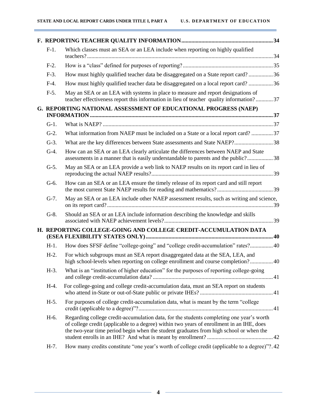| $F-1.$  | Which classes must an SEA or an LEA include when reporting on highly qualified                                                                                                                                                                                                  |  |
|---------|---------------------------------------------------------------------------------------------------------------------------------------------------------------------------------------------------------------------------------------------------------------------------------|--|
| $F-2$ . |                                                                                                                                                                                                                                                                                 |  |
| $F-3$ . | How must highly qualified teacher data be disaggregated on a State report card?36                                                                                                                                                                                               |  |
| $F-4.$  | How must highly qualified teacher data be disaggregated on a local report card? 36                                                                                                                                                                                              |  |
| $F-5$ . | May an SEA or an LEA with systems in place to measure and report designations of<br>teacher effectiveness report this information in lieu of teacher quality information?37                                                                                                     |  |
|         | G. REPORTING NATIONAL ASSESSMENT OF EDUCATIONAL PROGRESS (NAEP)                                                                                                                                                                                                                 |  |
| $G-1$ . |                                                                                                                                                                                                                                                                                 |  |
| $G-2$ . | What information from NAEP must be included on a State or a local report card? 37                                                                                                                                                                                               |  |
| $G-3$ . | What are the key differences between State assessments and State NAEP?38                                                                                                                                                                                                        |  |
| $G-4$ . | How can an SEA or an LEA clearly articulate the differences between NAEP and State<br>assessments in a manner that is easily understandable to parents and the public?38                                                                                                        |  |
| $G-5$ . | May an SEA or an LEA provide a web link to NAEP results on its report card in lieu of                                                                                                                                                                                           |  |
| $G-6.$  | How can an SEA or an LEA ensure the timely release of its report card and still report                                                                                                                                                                                          |  |
| $G-7.$  | May an SEA or an LEA include other NAEP assessment results, such as writing and science,                                                                                                                                                                                        |  |
| $G-8$ . | Should an SEA or an LEA include information describing the knowledge and skills                                                                                                                                                                                                 |  |
|         | H. REPORTING COLLEGE-GOING AND COLLEGE CREDIT-ACCUMULATION DATA                                                                                                                                                                                                                 |  |
| $H-1$ . | How does SFSF define "college-going" and "college credit-accumulation" rates? 40                                                                                                                                                                                                |  |
| $H-2$ . | For which subgroups must an SEA report disaggregated data at the SEA, LEA, and<br>high school-levels when reporting on college enrollment and course completion? 40                                                                                                             |  |
|         | H-3. What is an "institution of higher education" for the purposes of reporting college-going                                                                                                                                                                                   |  |
| $H-4.$  | For college-going and college credit-accumulation data, must an SEA report on students                                                                                                                                                                                          |  |
| $H-5.$  | For purposes of college credit-accumulation data, what is meant by the term "college                                                                                                                                                                                            |  |
| H-6.    | Regarding college credit-accumulation data, for the students completing one year's worth<br>of college credit (applicable to a degree) within two years of enrollment in an IHE, does<br>the two-year time period begin when the student graduates from high school or when the |  |
| $H-7.$  | How many credits constitute "one year's worth of college credit (applicable to a degree)"?.42                                                                                                                                                                                   |  |

<u> 1980 - Johann Barn, mars eta bainar eta industrial eta baina eta baina eta baina eta baina eta baina eta bain</u>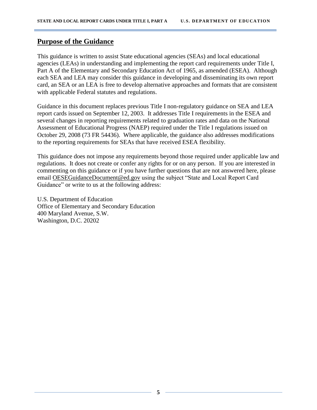## <span id="page-4-0"></span>**Purpose of the Guidance**

This guidance is written to assist State educational agencies (SEAs) and local educational agencies (LEAs) in understanding and implementing the report card requirements under Title I, Part A of the Elementary and Secondary Education Act of 1965, as amended (ESEA). Although each SEA and LEA may consider this guidance in developing and disseminating its own report card, an SEA or an LEA is free to develop alternative approaches and formats that are consistent with applicable Federal statutes and regulations.

Guidance in this document replaces previous Title I non-regulatory guidance on SEA and LEA report cards issued on September 12, 2003. It addresses Title I requirements in the ESEA and several changes in reporting requirements related to graduation rates and data on the National Assessment of Educational Progress (NAEP) required under the Title I regulations issued on October 29, 2008 (73 FR 54436). Where applicable, the guidance also addresses modifications to the reporting requirements for SEAs that have received ESEA flexibility.

This guidance does not impose any requirements beyond those required under applicable law and regulations. It does not create or confer any rights for or on any person. If you are interested in commenting on this guidance or if you have further questions that are not answered here, please email [OESEGuidanceDocument@ed.gov](mailto:OESEGuidanceDocument@ed.gov) using the subject "State and Local Report Card Guidance" or write to us at the following address:

U.S. Department of Education Office of Elementary and Secondary Education 400 Maryland Avenue, S.W. Washington, D.C. 20202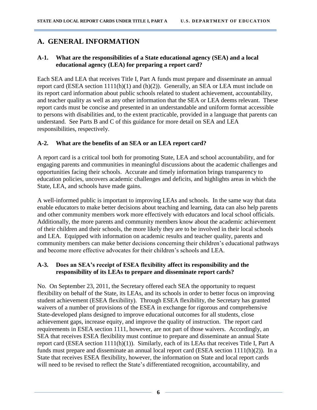# <span id="page-5-0"></span>**A. GENERAL INFORMATION**

#### <span id="page-5-1"></span>**A-1. What are the responsibilities of a State educational agency (SEA) and a local educational agency (LEA) for preparing a report card?**

Each SEA and LEA that receives Title I, Part A funds must prepare and disseminate an annual report card (ESEA section 1111(h)(1) and (h)(2)). Generally, an SEA or LEA must include on its report card information about public schools related to student achievement, accountability, and teacher quality as well as any other information that the SEA or LEA deems relevant. These report cards must be concise and presented in an understandable and uniform format accessible to persons with disabilities and, to the extent practicable, provided in a language that parents can understand. See Parts B and C of this guidance for more detail on SEA and LEA responsibilities, respectively.

#### <span id="page-5-2"></span>**A-2. What are the benefits of an SEA or an LEA report card?**

A report card is a critical tool both for promoting State, LEA and school accountability, and for engaging parents and communities in meaningful discussions about the academic challenges and opportunities facing their schools. Accurate and timely information brings transparency to education policies, uncovers academic challenges and deficits, and highlights areas in which the State, LEA, and schools have made gains.

A well-informed public is important to improving LEAs and schools. In the same way that data enable educators to make better decisions about teaching and learning, data can also help parents and other community members work more effectively with educators and local school officials. Additionally, the more parents and community members know about the academic achievement of their children and their schools, the more likely they are to be involved in their local schools and LEA. Equipped with information on academic results and teacher quality, parents and community members can make better decisions concerning their children's educational pathways and become more effective advocates for their children's schools and LEA.

#### <span id="page-5-3"></span>**A-3. Does an SEA's receipt of ESEA flexibility affect its responsibility and the responsibility of its LEAs to prepare and disseminate report cards?**

No. On September 23, 2011, the Secretary offered each SEA the opportunity to request flexibility on behalf of the State, its LEAs, and its schools in order to better focus on improving student achievement (ESEA flexibility). Through ESEA flexibility, the Secretary has granted waivers of a number of provisions of the ESEA in exchange for rigorous and comprehensive State-developed plans designed to improve educational outcomes for all students, close achievement gaps, increase equity, and improve the quality of instruction. The report card requirements in ESEA section 1111, however, are not part of those waivers. Accordingly, an SEA that receives ESEA flexibility must continue to prepare and disseminate an annual State report card (ESEA section 1111(h)(1)). Similarly, each of its LEAs that receives Title I, Part A funds must prepare and disseminate an annual local report card (ESEA section 1111(h)(2)). In a State that receives ESEA flexibility, however, the information on State and local report cards will need to be revised to reflect the State's differentiated recognition, accountability, and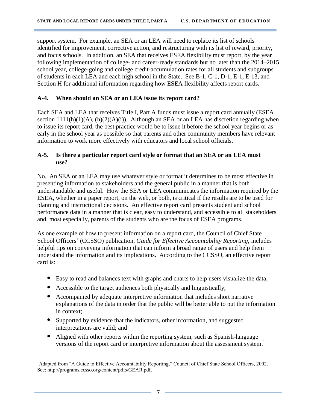support system. For example, an SEA or an LEA will need to replace its list of schools identified for improvement, corrective action, and restructuring with its list of reward, priority, and focus schools. In addition, an SEA that receives ESEA flexibility must report, by the year following implementation of college- and career-ready standards but no later than the 2014–2015 school year, college-going and college credit-accumulation rates for all students and subgroups of students in each LEA and each high school in the State. See B-1, C-1, D-1, E-1, E-13, and Section H for additional information regarding how ESEA flexibility affects report cards.

#### <span id="page-6-0"></span>**A-4. When should an SEA or an LEA issue its report card?**

Each SEA and LEA that receives Title I, Part A funds must issue a report card annually (ESEA section  $1111(h)(1)(A)$ ,  $(h)(2)(A)(i)$ ). Although an SEA or an LEA has discretion regarding when to issue its report card, the best practice would be to issue it before the school year begins or as early in the school year as possible so that parents and other community members have relevant information to work more effectively with educators and local school officials.

#### <span id="page-6-1"></span>**A-5. Is there a particular report card style or format that an SEA or an LEA must use?**

No. An SEA or an LEA may use whatever style or format it determines to be most effective in presenting information to stakeholders and the general public in a manner that is both understandable and useful. How the SEA or LEA communicates the information required by the ESEA, whether in a paper report, on the web, or both, is critical if the results are to be used for planning and instructional decisions. An effective report card presents student and school performance data in a manner that is clear, easy to understand, and accessible to all stakeholders and, most especially, parents of the students who are the focus of ESEA programs.

As one example of how to present information on a report card, the Council of Chief State School Officers' (CCSSO) publication, *Guide for Effective Accountability Reporting,* includes helpful tips on conveying information that can inform a broad range of users and help them understand the information and its implications. According to the CCSSO, an effective report card is:

- Easy to read and balances text with graphs and charts to help users visualize the data;
- Accessible to the target audiences both physically and linguistically;
- Accompanied by adequate interpretive information that includes short narrative explanations of the data in order that the public will be better able to put the information in context;
- Supported by evidence that the indicators, other information, and suggested interpretations are valid; and
- Aligned with other reports within the reporting system, such as Spanish-language versions of the report card or interpretive information about the assessment system.<sup>1</sup>

 $\overline{\phantom{a}}$ <sup>1</sup>Adapted from "A Guide to Effective Accountability Reporting," Council of Chief State School Officers, 2002. See[: http://programs.ccsso.org/content/pdfs/GEAR.pdf.](http://programs.ccsso.org/content/pdfs/GEAR.pdf)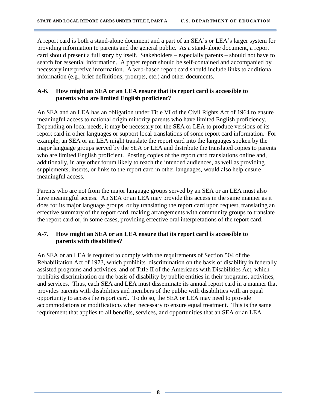A report card is both a stand-alone document and a part of an SEA's or LEA's larger system for providing information to parents and the general public. As a stand-alone document, a report card should present a full story by itself. Stakeholders – especially parents – should not have to search for essential information. A paper report should be self-contained and accompanied by necessary interpretive information. A web-based report card should include links to additional information (e.g., brief definitions, prompts, etc.) and other documents.

#### <span id="page-7-0"></span>**A-6. How might an SEA or an LEA ensure that its report card is accessible to parents who are limited English proficient?**

An SEA and an LEA has an obligation under Title VI of the Civil Rights Act of 1964 to ensure meaningful access to national origin minority parents who have limited English proficiency. Depending on local needs, it may be necessary for the SEA or LEA to produce versions of its report card in other languages or support local translations of some report card information. For example, an SEA or an LEA might translate the report card into the languages spoken by the major language groups served by the SEA or LEA and distribute the translated copies to parents who are limited English proficient. Posting copies of the report card translations online and, additionally, in any other forum likely to reach the intended audiences, as well as providing supplements, inserts, or links to the report card in other languages, would also help ensure meaningful access.

Parents who are not from the major language groups served by an SEA or an LEA must also have meaningful access. An SEA or an LEA may provide this access in the same manner as it does for its major language groups, or by translating the report card upon request, translating an effective summary of the report card, making arrangements with community groups to translate the report card or, in some cases, providing effective oral interpretations of the report card.

#### <span id="page-7-1"></span>**A-7. How might an SEA or an LEA ensure that its report card is accessible to parents with disabilities?**

An SEA or an LEA is required to comply with the requirements of Section 504 of the Rehabilitation Act of 1973, which prohibits discrimination on the basis of disability in federally assisted programs and activities, and of Title II of the Americans with Disabilities Act, which prohibits discrimination on the basis of disability by public entities in their programs, activities, and services. Thus, each SEA and LEA must disseminate its annual report card in a manner that provides parents with disabilities and members of the public with disabilities with an equal opportunity to access the report card. To do so, the SEA or LEA may need to provide accommodations or modifications when necessary to ensure equal treatment. This is the same requirement that applies to all benefits, services, and opportunities that an SEA or an LEA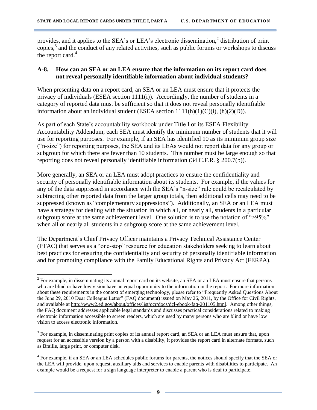provides, and it applies to the SEA's or LEA's electronic dissemination,<sup>2</sup> distribution of print copies, $3$  and the conduct of any related activities, such as public forums or workshops to discuss the report card. $4$ 

#### <span id="page-8-0"></span>**A-8. How can an SEA or an LEA ensure that the information on its report card does not reveal personally identifiable information about individual students?**

When presenting data on a report card, an SEA or an LEA must ensure that it protects the privacy of individuals (ESEA section 1111(i)). Accordingly, the number of students in a category of reported data must be sufficient so that it does not reveal personally identifiable information about an individual student (ESEA section  $1111(h)(1)(C)(i)$ ,  $(h)(2)(D)$ ).

As part of each State's accountability workbook under Title I or its ESEA Flexibility Accountability Addendum, each SEA must identify the minimum number of students that it will use for reporting purposes. For example, if an SEA has identified 10 as its minimum group size ("n-size") for reporting purposes, the SEA and its LEAs would not report data for any group or subgroup for which there are fewer than 10 students. This number must be large enough so that reporting does not reveal personally identifiable information (34 C.F.R. § 200.7(b)).

More generally, an SEA or an LEA must adopt practices to ensure the confidentiality and security of personally identifiable information about its students. For example, if the values for any of the data suppressed in accordance with the SEA's "n-size" rule could be recalculated by subtracting other reported data from the larger group totals, then additional cells may need to be suppressed (known as "complementary suppressions"). Additionally, an SEA or an LEA must have a strategy for dealing with the situation in which all, or nearly all, students in a particular subgroup score at the same achievement level. One solution is to use the notation of ">95%" when all or nearly all students in a subgroup score at the same achievement level.

The Department's Chief Privacy Officer maintains a Privacy Technical Assistance Center (PTAC) that serves as a "one-stop" resource for education stakeholders seeking to learn about best practices for ensuring the confidentiality and security of personally identifiable information and for promoting compliance with the Family Educational Rights and Privacy Act (FERPA).

 $\overline{\phantom{a}}$  $2^{2}$  For example, in disseminating its annual report card on its website, an SEA or an LEA must ensure that persons who are blind or have low vision have an equal opportunity to the information in the report. For more information about these requirements in the context of emerging technology, please refer to "Frequently Asked Questions About the June 29, 2010 Dear Colleague Letter" (FAQ document) issued on May 26, 2011, by the Office for Civil Rights, and available at [http://www2.ed.gov/about/offices/list/ocr/docs/dcl-ebook-faq-201105.html.](http://www2.ed.gov/about/offices/list/ocr/docs/dcl-ebook-faq-201105.html) Among other things, the FAQ document addresses applicable legal standards and discusses practical considerations related to making electronic information accessible to screen readers, which are used by many persons who are blind or have low vision to access electronic information.

 $3$  For example, in disseminating print copies of its annual report card, an SEA or an LEA must ensure that, upon request for an accessible version by a person with a disability, it provides the report card in alternate formats, such as Braille, large print, or computer disk.

<sup>&</sup>lt;sup>4</sup> For example, if an SEA or an LEA schedules public forums for parents, the notices should specify that the SEA or the LEA will provide, upon request, auxiliary aids and services to enable parents with disabilities to participate. An example would be a request for a sign language interpreter to enable a parent who is deaf to participate.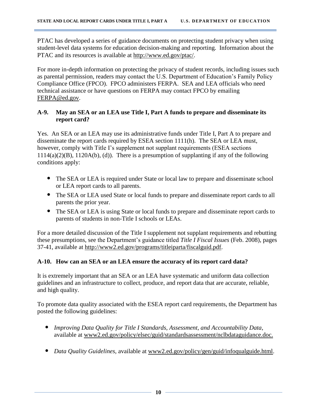PTAC has developed a series of guidance documents on protecting student privacy when using student-level data systems for education decision-making and reporting. Information about the PTAC and its resources is available at [http://www.ed.gov/ptac/.](http://www.ed.gov/ptac/)

For more in-depth information on protecting the privacy of student records, including issues such as parental permission, readers may contact the U.S. Department of Education's Family Policy Compliance Office (FPCO). FPCO administers FERPA. SEA and LEA officials who need technical assistance or have questions on FERPA may contact FPCO by emailing [FERPA@ed.gov.](mailto:FERPA@ed.gov)

#### <span id="page-9-0"></span>**A-9. May an SEA or an LEA use Title I, Part A funds to prepare and disseminate its report card?**

Yes. An SEA or an LEA may use its administrative funds under Title I, Part A to prepare and disseminate the report cards required by ESEA section 1111(h). The SEA or LEA must, however, comply with Title I's supplement not supplant requirements (ESEA sections  $1114(a)(2)(B)$ ,  $1120A(b)$ , (d)). There is a presumption of supplanting if any of the following conditions apply:

- The SEA or LEA is required under State or local law to prepare and disseminate school or LEA report cards to all parents.
- The SEA or LEA used State or local funds to prepare and disseminate report cards to all parents the prior year.
- The SEA or LEA is using State or local funds to prepare and disseminate report cards to parents of students in non-Title I schools or LEAs.

For a more detailed discussion of the Title I supplement not supplant requirements and rebutting these presumptions, see the Department's guidance titled *Title I Fiscal Issues* (Feb. 2008), pages 37-41, available at [http://www2.ed.gov/programs/titleiparta/fiscalguid.pdf.](http://www2.ed.gov/programs/titleiparta/fiscalguid.pdf)

#### <span id="page-9-1"></span>**A-10. How can an SEA or an LEA ensure the accuracy of its report card data?**

It is extremely important that an SEA or an LEA have systematic and uniform data collection guidelines and an infrastructure to collect, produce, and report data that are accurate, reliable, and high quality.

To promote data quality associated with the ESEA report card requirements, the Department has posted the following guidelines:

- *Improving Data Quality for Title I Standards, Assessment, and Accountability Data*, available at [www2.ed.gov/policy/elsec/guid/standardsassessment/nclbdataguidance.doc.](file://EDUPTCNAS02/UserDir8/Ronald.Friend/My%20documents/2012%20Report%20Card%20Guidance/www2.ed.gov/policy/elsec/guid/standardsassessment/nclbdataguidance.doc)
- *Data Quality Guidelines,* available at [www2.ed.gov/policy/gen/guid/infoqualguide.html.](http://www.ed.gov/policy/gen/guid/infoqualguide.html)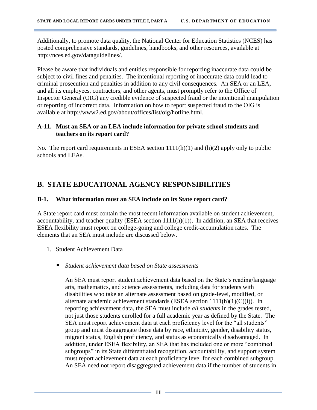Additionally, to promote data quality, the National Center for Education Statistics (NCES) has posted comprehensive standards, guidelines, handbooks, and other resources, available at [http://nces.ed.gov/dataguidelines/.](http://nces.ed.gov/dataguidelines/)

Please be aware that individuals and entities responsible for reporting inaccurate data could be subject to civil fines and penalties. The intentional reporting of inaccurate data could lead to criminal prosecution and penalties in addition to any civil consequences. An SEA or an LEA, and all its employees, contractors, and other agents, must promptly refer to the Office of Inspector General (OIG) any credible evidence of suspected fraud or the intentional manipulation or reporting of incorrect data. Information on how to report suspected fraud to the OIG is available at [http://www2.ed.gov/about/offices/list/oig/hotline.html.](http://www2.ed.gov/about/offices/list/oig/hotline.html)

#### <span id="page-10-1"></span><span id="page-10-0"></span>**A-11. Must an SEA or an LEA include information for private school students and teachers on its report card?**

No. The report card requirements in ESEA section 1111(h)(1) and (h)(2) apply only to public schools and LEAs.

# <span id="page-10-2"></span>**B. STATE EDUCATIONAL AGENCY RESPONSIBILITIES**

#### <span id="page-10-3"></span>**B-1. What information must an SEA include on its State report card?**

A State report card must contain the most recent information available on student achievement, accountability, and teacher quality (ESEA section 1111(h)(1)). In addition, an SEA that receives ESEA flexibility must report on college-going and college credit-accumulation rates. The elements that an SEA must include are discussed below.

- 1. Student Achievement Data
	- *Student achievement data based on State assessments*

An SEA must report student achievement data based on the State's reading/language arts, mathematics, and science assessments, including data for students with disabilities who take an alternate assessment based on grade-level, modified, or alternate academic achievement standards (ESEA section 1111(h)(1)(C)(i)). In reporting achievement data, the SEA must include *all students* in the grades tested, not just those students enrolled for a full academic year as defined by the State. The SEA must report achievement data at each proficiency level for the "all students" group and must disaggregate those data by race, ethnicity, gender, disability status, migrant status, English proficiency, and status as economically disadvantaged. In addition, under ESEA flexibility, an SEA that has included one or more "combined subgroups" in its State differentiated recognition, accountability, and support system must report achievement data at each proficiency level for each combined subgroup. An SEA need not report disaggregated achievement data if the number of students in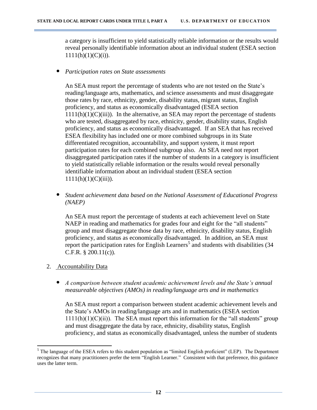a category is insufficient to yield statistically reliable information or the results would reveal personally identifiable information about an individual student (ESEA section  $1111(h)(1)(C)(i)$ ).

• *Participation rates on State assessments*

An SEA must report the percentage of students who are not tested on the State's reading/language arts, mathematics, and science assessments and must disaggregate those rates by race, ethnicity, gender, disability status, migrant status, English proficiency, and status as economically disadvantaged (ESEA section  $1111(h)(1)(C(iii))$ . In the alternative, an SEA may report the percentage of students who are tested, disaggregated by race, ethnicity, gender, disability status, English proficiency, and status as economically disadvantaged. If an SEA that has received ESEA flexibility has included one or more combined subgroups in its State differentiated recognition, accountability, and support system, it must report participation rates for each combined subgroup also. An SEA need not report disaggregated participation rates if the number of students in a category is insufficient to yield statistically reliable information or the results would reveal personally identifiable information about an individual student (ESEA section  $1111(h)(1)(C)(iii)$ ).

• *Student achievement data based on the National Assessment of Educational Progress (NAEP)*

An SEA must report the percentage of students at each achievement level on State NAEP in reading and mathematics for grades four and eight for the "all students" group and must disaggregate those data by race, ethnicity, disability status, English proficiency, and status as economically disadvantaged. In addition, an SEA must report the participation rates for English Learners<sup>5</sup> and students with disabilities  $(34)$ C.F.R. § 200.11(c)).

- 2. Accountability Data
	- *A comparison between student academic achievement levels and the State's annual measureable objectives (AMOs) in reading/language arts and in mathematics*

An SEA must report a comparison between student academic achievement levels and the State's AMOs in reading/language arts and in mathematics (ESEA section  $1111(h)(1)(C(ii))$ . The SEA must report this information for the "all students" group and must disaggregate the data by race, ethnicity, disability status, English proficiency, and status as economically disadvantaged, unless the number of students

 $\overline{\phantom{a}}$  $<sup>5</sup>$  The language of the ESEA refers to this student population as "limited English proficient" (LEP). The Department</sup> recognizes that many practitioners prefer the term "English Learner." Consistent with that preference, this guidance uses the latter term.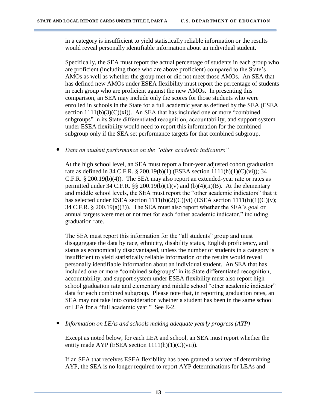in a category is insufficient to yield statistically reliable information or the results would reveal personally identifiable information about an individual student.

Specifically, the SEA must report the actual percentage of students in each group who are proficient (including those who are above proficient) compared to the State's AMOs as well as whether the group met or did not meet those AMOs. An SEA that has defined new AMOs under ESEA flexibility must report the percentage of students in each group who are proficient against the new AMOs. In presenting this comparison, an SEA may include only the scores for those students who were enrolled in schools in the State for a full academic year as defined by the SEA (ESEA section  $1111(b)(3)(C)(xi)$ . An SEA that has included one or more "combined" subgroups" in its State differentiated recognition, accountability, and support system under ESEA flexibility would need to report this information for the combined subgroup only if the SEA set performance targets for that combined subgroup.

• *Data on student performance on the "other academic indicators"*

At the high school level, an SEA must report a four-year adjusted cohort graduation rate as defined in 34 C.F.R. § 200.19(b)(1) (ESEA section 1111(h)(1)(C)(vi)); 34 C.F.R. § 200.19(b)(4)). The SEA may also report an extended-year rate or rates as permitted under 34 C.F.R.  $\S$ § 200.19(b)(1)(v) and (b)(4)(ii)(B). At the elementary and middle school levels, the SEA must report the "other academic indicators" that it has selected under ESEA section  $1111(b)(2)(C)(vi)$  (ESEA section  $1111(h)(1)(C)(v)$ ; 34 C.F.R. § 200.19(a)(3)). The SEA must also report whether the SEA's goal or annual targets were met or not met for each "other academic indicator," including graduation rate.

The SEA must report this information for the "all students" group and must disaggregate the data by race, ethnicity, disability status, English proficiency, and status as economically disadvantaged, unless the number of students in a category is insufficient to yield statistically reliable information or the results would reveal personally identifiable information about an individual student. An SEA that has included one or more "combined subgroups" in its State differentiated recognition, accountability, and support system under ESEA flexibility must also report high school graduation rate and elementary and middle school "other academic indicator" data for each combined subgroup. Please note that, in reporting graduation rates, an SEA may not take into consideration whether a student has been in the same school or LEA for a "full academic year." See E-2.

• *Information on LEAs and schools making adequate yearly progress (AYP)*

Except as noted below, for each LEA and school, an SEA must report whether the entity made AYP (ESEA section  $1111(h)(1)(C)(vii)$ ).

If an SEA that receives ESEA flexibility has been granted a waiver of determining AYP, the SEA is no longer required to report AYP determinations for LEAs and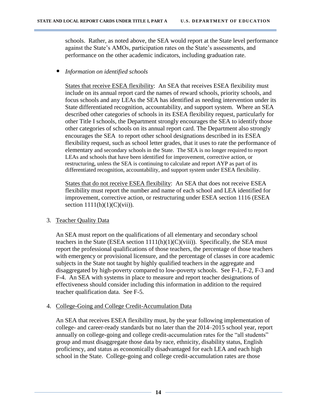schools. Rather, as noted above, the SEA would report at the State level performance against the State's AMOs, participation rates on the State's assessments, and performance on the other academic indicators, including graduation rate.

#### • *Information on identified schools*

States that receive ESEA flexibility: An SEA that receives ESEA flexibility must include on its annual report card the names of reward schools, priority schools, and focus schools and any LEAs the SEA has identified as needing intervention under its State differentiated recognition, accountability, and support system. Where an SEA described other categories of schools in its ESEA flexibility request, particularly for other Title I schools, the Department strongly encourages the SEA to identify those other categories of schools on its annual report card. The Department also strongly encourages the SEA to report other school designations described in its ESEA flexibility request, such as school letter grades, that it uses to rate the performance of elementary and secondary schools in the State. The SEA is no longer required to report LEAs and schools that have been identified for improvement, corrective action, or restructuring, unless the SEA is continuing to calculate and report AYP as part of its differentiated recognition, accountability, and support system under ESEA flexibility.

States that do not receive ESEA flexibility:An SEA that does not receive ESEA flexibility must report the number and name of each school and LEA identified for improvement, corrective action, or restructuring under ESEA section 1116 (ESEA section  $1111(h)(1)(C)(vii)$ ).

#### 3. Teacher Quality Data

An SEA must report on the qualifications of all elementary and secondary school teachers in the State (ESEA section  $1111(h)(1)(C)(viii)$ ). Specifically, the SEA must report the professional qualifications of those teachers, the percentage of those teachers with emergency or provisional licensure, and the percentage of classes in core academic subjects in the State not taught by highly qualified teachers in the aggregate and disaggregated by high-poverty compared to low-poverty schools. See F-1, F-2, F-3 and F-4. An SEA with systems in place to measure and report teacher designations of effectiveness should consider including this information in addition to the required teacher qualification data. See F-5.

#### 4. College-Going and College Credit-Accumulation Data

An SEA that receives ESEA flexibility must, by the year following implementation of college- and career-ready standards but no later than the 2014–2015 school year, report annually on college-going and college credit-accumulation rates for the "all students" group and must disaggregate those data by race, ethnicity, disability status, English proficiency, and status as economically disadvantaged for each LEA and each high school in the State. College-going and college credit-accumulation rates are those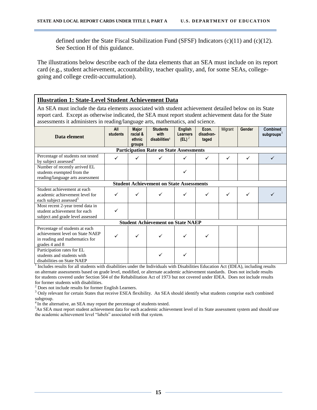defined under the State Fiscal Stabilization Fund (SFSF) Indicators (c)(11) and (c)(12). See Section H of this guidance.

The illustrations below describe each of the data elements that an SEA must include on its report card (e.g., student achievement, accountability, teacher quality, and, for some SEAs, collegegoing and college credit-accumulation).

#### **Illustration 1: State-Level Student Achievement Data**

An SEA must include the data elements associated with student achievement detailed below on its State report card. Except as otherwise indicated, the SEA must report student achievement data for the State assessments it administers in reading/language arts, mathematics, and science.

| Data element                                                                                                          | <b>All</b><br>students | <b>Major</b><br>racial &<br>ethnic<br>groups | <b>Students</b><br>with<br>disabilities <sup>1</sup> | <b>English</b><br><b>Learners</b><br>$(EL)^2$ | Econ.<br>disadvan-<br>taged | Migrant | Gender | <b>Combined</b><br>subgroups $3$ |
|-----------------------------------------------------------------------------------------------------------------------|------------------------|----------------------------------------------|------------------------------------------------------|-----------------------------------------------|-----------------------------|---------|--------|----------------------------------|
|                                                                                                                       |                        |                                              | <b>Participation Rate on State Assessments</b>       |                                               |                             |         |        |                                  |
| Percentage of students not tested<br>by subject assessed <sup>4</sup>                                                 | ✓                      |                                              |                                                      |                                               |                             | ✓       | ✓      |                                  |
| Number of recently arrived EL<br>students exempted from the<br>reading/language arts assessment                       |                        |                                              |                                                      |                                               |                             |         |        |                                  |
| <b>Student Achievement on State Assessments</b>                                                                       |                        |                                              |                                                      |                                               |                             |         |        |                                  |
| Student achievement at each<br>academic achievement level for<br>each subject assessed <sup>5</sup>                   | ✓                      |                                              |                                                      | ✓                                             |                             | ✓       |        |                                  |
| Most recent 2-year trend data in<br>student achievement for each<br>subject and grade level assessed                  |                        |                                              |                                                      |                                               |                             |         |        |                                  |
|                                                                                                                       |                        |                                              | <b>Student Achievement on State NAEP</b>             |                                               |                             |         |        |                                  |
| Percentage of students at each<br>achievement level on State NAEP<br>in reading and mathematics for<br>grades 4 and 8 |                        |                                              |                                                      |                                               |                             |         |        |                                  |
| Participation rates for EL<br>students and students with<br>disabilities on State NAEP                                |                        |                                              |                                                      | ✓                                             |                             |         |        |                                  |

<sup>1</sup> Includes results for all students with disabilities under the Individuals with Disabilities Education Act (IDEA), including results on alternate assessments based on grade level, modified, or alternate academic achievement standards. Does not include results for students covered under Section 504 of the Rehabilitation Act of 1973 but not covered under IDEA. Does not include results for former students with disabilities.

 $2$  Does not include results for former English Learners.

<sup>3</sup> Only relevant for certain States that receive ESEA flexibility. An SEA should identify what students comprise each combined subgroup.

<sup>4</sup> In the alternative, an SEA may report the percentage of students tested.

<sup>5</sup>An SEA must report student achievement data for each academic achievement level of its State assessment system and should use the academic achievement level "labels" associated with that system.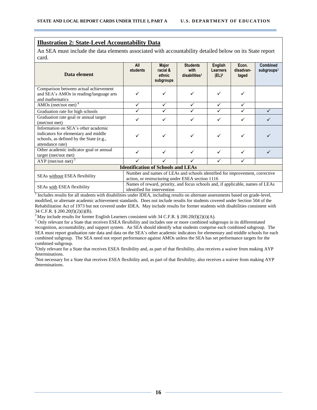#### **Illustration 2: State-Level Accountability Data**

An SEA must include the data elements associated with accountability detailed below on its State report card.

| Data element                                                                                                                               | <b>All</b><br>students      | <b>Major</b><br>racial &<br>ethnic<br>subgroups | <b>Students</b><br>with<br>disabilities <sup>1</sup>                                                                            | English<br>Learners<br>$(EL)^2$ | Econ.<br>disadvan-<br>taged | Combined<br>subgroups $3$ |  |
|--------------------------------------------------------------------------------------------------------------------------------------------|-----------------------------|-------------------------------------------------|---------------------------------------------------------------------------------------------------------------------------------|---------------------------------|-----------------------------|---------------------------|--|
| Comparison between actual achievement<br>and SEA's AMOs in reading/language arts<br>and mathematics                                        |                             | ✓                                               |                                                                                                                                 |                                 |                             |                           |  |
| AMOs (met/not met) $4$                                                                                                                     |                             | ✓                                               | ✓                                                                                                                               | ✓                               |                             |                           |  |
| Graduation rate for high schools                                                                                                           |                             |                                                 |                                                                                                                                 | ✓                               |                             |                           |  |
| Graduation rate goal or annual target<br>(met/not met)                                                                                     |                             |                                                 |                                                                                                                                 | ✓                               |                             |                           |  |
| Information on SEA's other academic<br>indicators for elementary and middle<br>schools, as defined by the State (e.g.,<br>attendance rate) |                             |                                                 |                                                                                                                                 |                                 |                             |                           |  |
| Other academic indicator goal or annual<br>target (met/not met)                                                                            |                             | ✓                                               |                                                                                                                                 | ✓                               | ✓                           |                           |  |
| $AYP$ (met/not met) <sup>5</sup>                                                                                                           |                             |                                                 |                                                                                                                                 |                                 |                             |                           |  |
| <b>Identification of Schools and LEAs</b>                                                                                                  |                             |                                                 |                                                                                                                                 |                                 |                             |                           |  |
| SEAs without ESEA flexibility                                                                                                              |                             |                                                 | Number and names of LEAs and schools identified for improvement, corrective<br>action, or restructuring under ESEA section 1116 |                                 |                             |                           |  |
| SEAs with ESEA flexibility                                                                                                                 | identified for intervention |                                                 | Names of reward, priority, and focus schools and, if applicable, names of LEAs                                                  |                                 |                             |                           |  |

<sup>1</sup> Includes results for all students with disabilities under IDEA, including results on alternate assessments based on grade-level, modified, or alternate academic achievement standards. Does not include results for students covered under Section 504 of the Rehabilitation Act of 1973 but not covered under IDEA. May include results for former students with disabilities consistent with 34 C.F.R. § 200.20(f)(2)(i)(B).

<sup>2</sup> May include results for former English Learners consistent with 34 C.F.R. § 200.20(f)(2)(i)(A).

<sup>3</sup> Only relevant for a State that receives ESEA flexibility and includes one or more combined subgroups in its differentiated recognition, accountability, and support system. An SEA should identify what students comprise each combined subgroup. The SEA must report graduation rate data and data on the SEA's other academic indicators for elementary and middle schools for each combined subgroup. The SEA need not report performance against AMOs unless the SEA has set performance targets for the combined subgroup.

<sup>4</sup>Only relevant for a State that receives ESEA flexibility and, as part of that flexibility, also receives a waiver from making AYP determinations.

<sup>5</sup>Not necessary for a State that receives ESEA flexibility and, as part of that flexibility, also receives a waiver from making AYP determinations.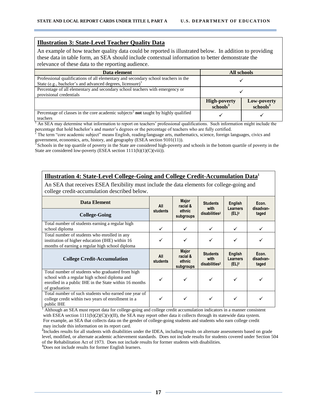#### **Illustration 3: State-Level Teacher Quality Data**

An example of how teacher quality data could be reported is illustrated below. In addition to providing these data in table form, an SEA should include contextual information to better demonstrate the relevance of these data to the reporting audience.

| Data element                                                                                                                                                | All schools                                 |                                     |  |
|-------------------------------------------------------------------------------------------------------------------------------------------------------------|---------------------------------------------|-------------------------------------|--|
| Professional qualifications of all elementary and secondary school teachers in the<br>State (e.g., bachelor's and advanced degrees, licensure) <sup>1</sup> |                                             |                                     |  |
| Percentage of all elementary and secondary school teachers with emergency or<br>provisional credentials                                                     |                                             |                                     |  |
|                                                                                                                                                             | <b>High-poverty</b><br>schools <sup>3</sup> | Low-poverty<br>schools <sup>3</sup> |  |
| Percentage of classes in the core academic subjects <sup>2</sup> not taught by highly qualified<br>teachers                                                 |                                             |                                     |  |

<sup>1</sup> An SEA may determine what information to report on teachers' professional qualifications. Such information might include the percentage that hold bachelor's and master's degrees or the percentage of teachers who are fully certified.

<sup>2</sup> The term "core academic subject" means English, reading/language arts, mathematics, science, foreign languages, civics and government, economics, arts, history, and geography (ESEA section 9101(11)).

Schools in the top quartile of poverty in the State are considered high-poverty and schools in the bottom quartile of poverty in the State are considered low-poverty (ESEA section 1111(h)(1)(C)(viii)).

#### **Illustration 4: State-Level College-Going and College Credit-Accumulation Data<sup>1</sup>**

An SEA that receives ESEA flexibility must include the data elements for college-going and college credit-accumulation described below.

| <b>Data Element</b>                                                                                                                                                          | All             | Major<br>racial &                               | <b>Students</b><br>with                              | English<br>Learners             | Econ.<br>disadvan-          |  |
|------------------------------------------------------------------------------------------------------------------------------------------------------------------------------|-----------------|-------------------------------------------------|------------------------------------------------------|---------------------------------|-----------------------------|--|
| <b>College-Going</b>                                                                                                                                                         | students        | ethnic<br>subgroups                             | disabilities <sup>2</sup>                            | (EL) <sup>3</sup>               | taged                       |  |
| Total number of students earning a regular high<br>school diploma                                                                                                            |                 | ✓                                               | ✓                                                    |                                 |                             |  |
| Total number of students who enrolled in any<br>institution of higher education (IHE) within 16<br>months of earning a regular high school diploma                           |                 |                                                 | ✓                                                    |                                 |                             |  |
| <b>College Credit-Accumulation</b>                                                                                                                                           | All<br>students | <b>Major</b><br>racial &<br>ethnic<br>subgroups | <b>Students</b><br>with<br>disabilities <sup>2</sup> | English<br>Learners<br>$(EL)^3$ | Econ.<br>disadvan-<br>taged |  |
| Total number of students who graduated from high<br>school with a regular high school diploma and<br>enrolled in a public IHE in the State within 16 months<br>of graduation |                 |                                                 | ✓                                                    |                                 |                             |  |
| Total number of such students who earned one year of<br>college credit within two years of enrollment in a<br>public IHE                                                     |                 |                                                 | ✓                                                    |                                 |                             |  |

 $<sup>1</sup>$  Although an SEA must report data for college-going and college credit accumulation indicators in a manner consistent</sup> with ESEA section  $1111(b)(2)(C)(v)(II)$ , the SEA may report other data it collects through its statewide data system. For example, an SEA that collects data on the gender of college-going students and students who earn college credit may include this information on its report card.

**2** Includes results for all students with disabilities under the IDEA, including results on alternate assessments based on grade level, modified, or alternate academic achievement standards. Does not include results for students covered under Section 504 of the Rehabilitation Act of 1973. Does not include results for former students with disabilities.

<span id="page-16-0"></span>**<sup>3</sup>**Does not include results for former English learners.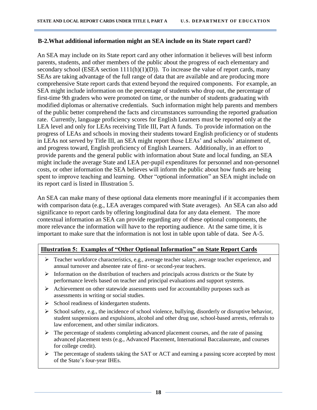#### **B-2.What additional information might an SEA include on its State report card?**

An SEA may include on its State report card any other information it believes will best inform parents, students, and other members of the public about the progress of each elementary and secondary school (ESEA section  $1111(h)(1)(D)$ ). To increase the value of report cards, many SEAs are taking advantage of the full range of data that are available and are producing more comprehensive State report cards that extend beyond the required components. For example, an SEA might include information on the percentage of students who drop out, the percentage of first-time 9th graders who were promoted on time, or the number of students graduating with modified diplomas or alternative credentials. Such information might help parents and members of the public better comprehend the facts and circumstances surrounding the reported graduation rate. Currently, language proficiency scores for English Learners must be reported only at the LEA level and only for LEAs receiving Title III, Part A funds. To provide information on the progress of LEAs and schools in moving their students toward English proficiency or of students in LEAs not served by Title III, an SEA might report those LEAs' and schools' attainment of, and progress toward, English proficiency of English Learners. Additionally, in an effort to provide parents and the general public with information about State and local funding, an SEA might include the average State and LEA per-pupil expenditures for personnel and non-personnel costs, or other information the SEA believes will inform the public about how funds are being spent to improve teaching and learning. Other "optional information" an SEA might include on its report card is listed in Illustration 5.

An SEA can make many of these optional data elements more meaningful if it accompanies them with comparison data (e.g., LEA averages compared with State averages). An SEA can also add significance to report cards by offering longitudinal data for any data element. The more contextual information an SEA can provide regarding any of these optional components, the more relevance the information will have to the reporting audience. At the same time, it is important to make sure that the information is not lost in table upon table of data. See A-5.

#### **Illustration 5: Examples of "Other Optional Information" on State Report Cards**

- $\triangleright$  Teacher workforce characteristics, e.g., average teacher salary, average teacher experience, and annual turnover and absentee rate of first- or second-year teachers.
- $\triangleright$  Information on the distribution of teachers and principals across districts or the State by performance levels based on teacher and principal evaluations and support systems.
- $\triangleright$  Achievement on other statewide assessments used for accountability purposes such as assessments in writing or social studies.
- $\triangleright$  School readiness of kindergarten students.
- $\triangleright$  School safety, e.g., the incidence of school violence, bullying, disorderly or disruptive behavior, student suspensions and expulsions, alcohol and other drug use, school-based arrests, referrals to law enforcement, and other similar indicators.
- $\triangleright$  The percentage of students completing advanced placement courses, and the rate of passing advanced placement tests (e.g., Advanced Placement, International Baccalaureate, and courses for college credit).
- $\triangleright$  The percentage of students taking the SAT or ACT and earning a passing score accepted by most of the State's four-year IHEs.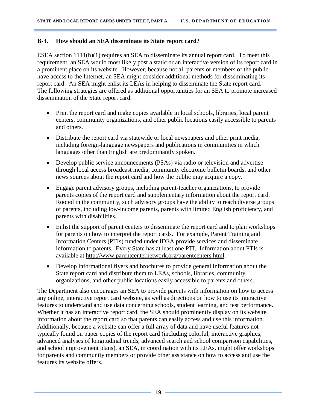#### <span id="page-18-0"></span>**B-3. How should an SEA disseminate its State report card?**

ESEA section 1111(h)(1) requires an SEA to disseminate its annual report card. To meet this requirement, an SEA would most likely post a static or an interactive version of its report card in a prominent place on its website. However, because not all parents or members of the public have access to the Internet, an SEA might consider additional methods for disseminating its report card. An SEA might enlist its LEAs in helping to disseminate the State report card. The following strategies are offered as additional opportunities for an SEA to promote increased dissemination of the State report card.

- Print the report card and make copies available in local schools, libraries, local parent centers, community organizations, and other public locations easily accessible to parents and others.
- Distribute the report card via statewide or local newspapers and other print media, including foreign-language newspapers and publications in communities in which languages other than English are predominantly spoken.
- Develop public service announcements (PSAs) via radio or television and advertise through local access broadcast media, community electronic bulletin boards, and other news sources about the report card and how the public may acquire a copy.
- Engage parent advisory groups, including parent-teacher organizations, to provide parents copies of the report card and supplementary information about the report card. Rooted in the community, such advisory groups have the ability to reach diverse groups of parents, including low-income parents, parents with limited English proficiency, and parents with disabilities.
- Enlist the support of parent centers to disseminate the report card and to plan workshops for parents on how to interpret the report cards. For example, Parent Training and Information Centers (PTIs) funded under IDEA provide services and disseminate information to parents. Every State has at least one PTI. Information about PTIs is available at [http://www.parentcenternetwork.org/parentcenters.html.](http://www.parentcenternetwork.org/parentcenters.html)
- Develop informational flyers and brochures to provide general information about the State report card and distribute them to LEAs, schools, libraries, community organizations, and other public locations easily accessible to parents and others.

The Department also encourages an SEA to provide parents with information on how to access any online, interactive report card website, as well as directions on how to use its interactive features to understand and use data concerning schools, student learning, and test performance. Whether it has an interactive report card, the SEA should prominently display on its website information about the report card so that parents can easily access and use this information. Additionally, because a website can offer a full array of data and have useful features not typically found on paper copies of the report card (including colorful, interactive graphics, advanced analyses of longitudinal trends, advanced search and school comparison capabilities, and school improvement plans), an SEA, in coordination with its LEAs, might offer workshops for parents and community members or provide other assistance on how to access and use the features its website offers.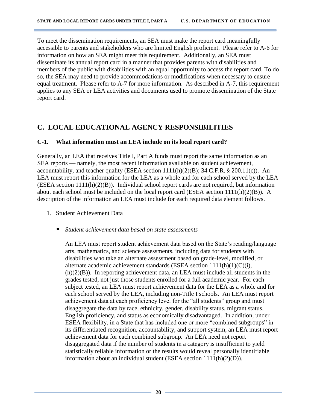To meet the dissemination requirements, an SEA must make the report card meaningfully accessible to parents and stakeholders who are limited English proficient. Please refer to A-6 for information on how an SEA might meet this requirement. Additionally, an SEA must disseminate its annual report card in a manner that provides parents with disabilities and members of the public with disabilities with an equal opportunity to access the report card. To do so, the SEA may need to provide accommodations or modifications when necessary to ensure equal treatment. Please refer to A-7 for more information. As described in A-7, this requirement applies to any SEA or LEA activities and documents used to promote dissemination of the State report card.

## <span id="page-19-0"></span>**C. LOCAL EDUCATIONAL AGENCY RESPONSIBILITIES**

#### <span id="page-19-1"></span>**C-1. What information must an LEA include on its local report card?**

Generally, an LEA that receives Title I, Part A funds must report the same information as an SEA reports — namely, the most recent information available on student achievement, accountability, and teacher quality (ESEA section 1111(h)(2)(B); 34 C.F.R. § 200.11(c)). An LEA must report this information for the LEA as a whole and for each school served by the LEA (ESEA section 1111(h)(2)(B)). Individual school report cards are not required, but information about each school must be included on the local report card (ESEA section 1111(h)(2)(B)). A description of the information an LEA must include for each required data element follows.

- 1. Student Achievement Data
	- *Student achievement data based on state assessments*

An LEA must report student achievement data based on the State's reading/language arts, mathematics, and science assessments, including data for students with disabilities who take an alternate assessment based on grade-level, modified, or alternate academic achievement standards (ESEA section 1111(h)(1)(C)(i),  $(h)(2)(B)$ ). In reporting achievement data, an LEA must include all students in the grades tested, not just those students enrolled for a full academic year. For each subject tested, an LEA must report achievement data for the LEA as a whole and for each school served by the LEA, including non-Title I schools. An LEA must report achievement data at each proficiency level for the "all students" group and must disaggregate the data by race, ethnicity, gender, disability status, migrant status, English proficiency, and status as economically disadvantaged. In addition, under ESEA flexibility, in a State that has included one or more "combined subgroups" in its differentiated recognition, accountability, and support system, an LEA must report achievement data for each combined subgroup.An LEA need not report disaggregated data if the number of students in a category is insufficient to yield statistically reliable information or the results would reveal personally identifiable information about an individual student (ESEA section 1111(h)(2)(D)).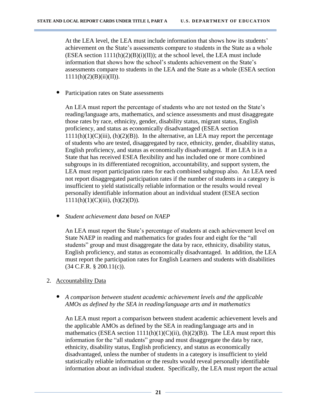At the LEA level, the LEA must include information that shows how its students' achievement on the State's assessments compare to students in the State as a whole  $(ESEA section 1111(h)(2)(B)(i)(II))$ ; at the school level, the LEA must include information that shows how the school's students achievement on the State's assessments compare to students in the LEA and the State as a whole (ESEA section  $1111(h)(2)(B)(ii)(II)).$ 

• Participation rates on State assessments

An LEA must report the percentage of students who are not tested on the State's reading/language arts, mathematics, and science assessments and must disaggregate those rates by race, ethnicity, gender, disability status, migrant status, English proficiency, and status as economically disadvantaged (ESEA section  $1111(h)(1)(C(iii), (h)(2)(B))$ . In the alternative, an LEA may report the percentage of students who are tested, disaggregated by race, ethnicity, gender, disability status, English proficiency, and status as economically disadvantaged. If an LEA is in a State that has received ESEA flexibility and has included one or more combined subgroups in its differentiated recognition, accountability, and support system, the LEA must report participation rates for each combined subgroup also. An LEA need not report disaggregated participation rates if the number of students in a category is insufficient to yield statistically reliable information or the results would reveal personally identifiable information about an individual student (ESEA section  $1111(h)(1)(C(iii), (h)(2)(D)).$ 

• *Student achievement data based on NAEP*

An LEA must report the State's percentage of students at each achievement level on State NAEP in reading and mathematics for grades four and eight for the "all students" group and must disaggregate the data by race, ethnicity, disability status, English proficiency, and status as economically disadvantaged. In addition, the LEA must report the participation rates for English Learners and students with disabilities (34 C.F.R. § 200.11(c)).

- 2. Accountability Data
	- *A comparison between student academic achievement levels and the applicable AMOs as defined by the SEA in reading/language arts and in mathematics*

An LEA must report a comparison between student academic achievement levels and the applicable AMOs as defined by the SEA in reading/language arts and in mathematics (ESEA section  $1111(h)(1)(C)(ii)$ ,  $(h)(2)(B)$ ). The LEA must report this information for the "all students" group and must disaggregate the data by race, ethnicity, disability status, English proficiency, and status as economically disadvantaged, unless the number of students in a category is insufficient to yield statistically reliable information or the results would reveal personally identifiable information about an individual student. Specifically, the LEA must report the actual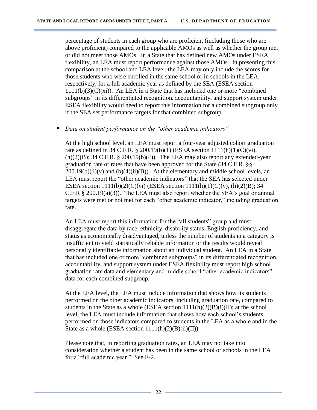percentage of students in each group who are proficient (including those who are above proficient) compared to the applicable AMOs as well as whether the group met or did not meet those AMOs. In a State that has defined new AMOs under ESEA flexibility, an LEA must report performance against those AMOs. In presenting this comparison at the school and LEA level, the LEA may only include the scores for those students who were enrolled in the same school or in schools in the LEA, respectively, for a full academic year as defined by the SEA (ESEA section  $1111(b)(3)(C)(xi)$ . An LEA in a State that has included one or more "combined" subgroups" in its differentiated recognition, accountability, and support system under ESEA flexibility would need to report this information for a combined subgroup only if the SEA set performance targets for that combined subgroup.

#### • *Data on student performance on the "other academic indicators"*

At the high school level, an LEA must report a four-year adjusted cohort graduation rate as defined in 34 C.F.R. § 200.19(b)(1) (ESEA section 1111(h)(1)(C)(vi),  $(h)(2)(B)$ ; 34 C.F.R. § 200.19 $(b)(4)$ ). The LEA may also report any extended-year graduation rate or rates that have been approved for the State (34 C.F.R. §§  $200.19(b)(1)(v)$  and  $(b)(4)(ii)(B)$ ). At the elementary and middle school levels, an LEA must report the "other academic indicators" that the SEA has selected under ESEA section  $1111(b)(2)(C)(vi)$  (ESEA section  $1111(h)(1)(C)(v)$ , (h)(2)(B); 34 C.F.R § 200.19(a)(3)). The LEA must also report whether the SEA's goal or annual targets were met or not met for each "other academic indicator," including graduation rate.

An LEA must report this information for the "all students" group and must disaggregate the data by race, ethnicity, disability status, English proficiency, and status as economically disadvantaged, unless the number of students in a category is insufficient to yield statistically reliable information or the results would reveal personally identifiable information about an individual student. An LEA in a State that has included one or more "combined subgroups" in its differentiated recognition, accountability, and support system under ESEA flexibility must report high school graduation rate data and elementary and middle school "other academic indicators" data for each combined subgroup.

At the LEA level, the LEA must include information that shows how its students performed on the other academic indicators, including graduation rate, compared to students in the State as a whole (ESEA section  $1111(h)(2)(B)(i)(II)$ ; at the school level, the LEA must include information that shows how each school's students performed on those indicators compared to students in the LEA as a whole and in the State as a whole (ESEA section  $1111(h)(2)(B)(ii)(II)$ ).

Please note that, in reporting graduation rates, an LEA may not take into consideration whether a student has been in the same school or schools in the LEA for a "full academic year." See E-2.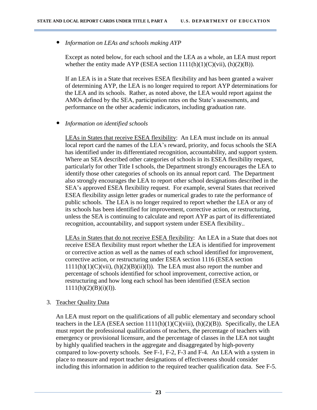• *Information on LEAs and schools making AYP*

Except as noted below, for each school and the LEA as a whole, an LEA must report whether the entity made AYP (ESEA section  $1111(h)(1)(C)(vii)$ ,  $(h)(2)(B)$ ).

If an LEA is in a State that receives ESEA flexibility and has been granted a waiver of determining AYP, the LEA is no longer required to report AYP determinations for the LEA and its schools. Rather, as noted above, the LEA would report against the AMOs defined by the SEA, participation rates on the State's assessments, and performance on the other academic indicators, including graduation rate.

#### • *Information on identified schools*

LEAs in States that receive ESEA flexibility: An LEA must include on its annual local report card the names of the LEA's reward, priority, and focus schools the SEA has identified under its differentiated recognition, accountability, and support system. Where an SEA described other categories of schools in its ESEA flexibility request, particularly for other Title I schools, the Department strongly encourages the LEA to identify those other categories of schools on its annual report card. The Department also strongly encourages the LEA to report other school designations described in the SEA's approved ESEA flexibility request. For example, several States that received ESEA flexibility assign letter grades or numerical grades to rate the performance of public schools. The LEA is no longer required to report whether the LEA or any of its schools has been identified for improvement, corrective action, or restructuring, unless the SEA is continuing to calculate and report AYP as part of its differentiated recognition, accountability, and support system under ESEA flexibility..

LEAs in States that do not receive ESEA flexibility: An LEA in a State that does not receive ESEA flexibility must report whether the LEA is identified for improvement or corrective action as well as the names of each school identified for improvement, corrective action, or restructuring under ESEA section 1116 (ESEA section  $1111(h)(1)(C)(vii)$ ,  $(h)(2)(B)(ii)(I)$ . The LEA must also report the number and percentage of schools identified for school improvement, corrective action, or restructuring and how long each school has been identified (ESEA section  $1111(h)(2)(B)(i)(I)).$ 

#### 3. Teacher Quality Data

An LEA must report on the qualifications of all public elementary and secondary school teachers in the LEA (ESEA section  $1111(h)(1)(C)(viii)$ ,  $(h)(2)(B)$ ). Specifically, the LEA must report the professional qualifications of teachers, the percentage of teachers with emergency or provisional licensure, and the percentage of classes in the LEA not taught by highly qualified teachers in the aggregate and disaggregated by high-poverty compared to low-poverty schools. See F-1, F-2, F-3 and F-4. An LEA with a system in place to measure and report teacher designations of effectiveness should consider including this information in addition to the required teacher qualification data. See F-5.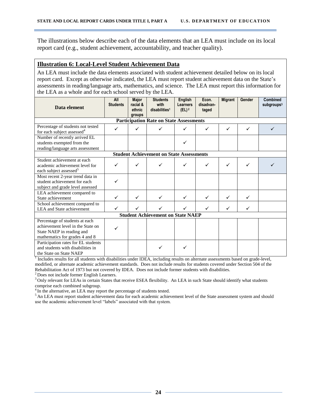The illustrations below describe each of the data elements that an LEA must include on its local report card (e.g., student achievement, accountability, and teacher quality).

#### **Illustration 6: Local-Level Student Achievement Data**

An LEA must include the data elements associated with student achievement detailed below on its local report card. Except as otherwise indicated, the LEA must report student achievement data on the State's assessments in reading/language arts, mathematics, and science. The LEA must report this information for the LEA as a whole and for each school served by the LEA.

| Data element                                                                                                                       | All<br><b>Students</b> | <b>Major</b><br>racial &<br>ethnic<br>groups | <b>Students</b><br>with<br>disabilities <sup>1</sup> | <b>English</b><br>Learners<br>$(EL)$ <sup>2</sup> | Econ.<br>disadvan-<br>taged | <b>Migrant</b> | Gender | Combined<br>subgroups <sup>3</sup> |
|------------------------------------------------------------------------------------------------------------------------------------|------------------------|----------------------------------------------|------------------------------------------------------|---------------------------------------------------|-----------------------------|----------------|--------|------------------------------------|
| <b>Participation Rate on State Assessments</b>                                                                                     |                        |                                              |                                                      |                                                   |                             |                |        |                                    |
| Percentage of students not tested<br>for each subject assessed <sup>4</sup>                                                        | ✓                      | ✓                                            |                                                      | ✓                                                 | ✓                           | ✓              | ✓      |                                    |
| Number of recently arrived EL<br>students exempted from the<br>reading/language arts assessment                                    |                        |                                              |                                                      |                                                   |                             |                |        |                                    |
|                                                                                                                                    |                        |                                              | <b>Student Achievement on State Assessments</b>      |                                                   |                             |                |        |                                    |
| Student achievement at each<br>academic achievement level for<br>each subject assessed <sup>5</sup>                                |                        | ✓                                            |                                                      | ✓                                                 | ✓                           | ✓              |        |                                    |
| Most recent 2-year trend data in<br>student achievement for each<br>subject and grade level assessed                               |                        |                                              |                                                      |                                                   |                             |                |        |                                    |
| LEA achievement compared to<br>State achievement                                                                                   | ✓                      | ✓                                            | ✓                                                    | ✓                                                 | ✓                           | ✓              | ✓      |                                    |
| School achievement compared to<br>LEA and State achievement                                                                        | ✓                      | ✓                                            |                                                      |                                                   | ✓                           | ✓              | ✓      |                                    |
| <b>Student Achievement on State NAEP</b>                                                                                           |                        |                                              |                                                      |                                                   |                             |                |        |                                    |
| Percentage of students at each<br>achievement level in the State on<br>State NAEP in reading and<br>mathematics for grades 4 and 8 |                        |                                              |                                                      |                                                   |                             |                |        |                                    |
| Participation rates for EL students<br>and students with disabilities in<br>the State on State NAEP                                |                        |                                              |                                                      | ✓                                                 |                             |                |        |                                    |

<sup>1</sup> Includes results for all students with disabilities under IDEA, including results on alternate assessments based on grade-level, modified, or alternate academic achievement standards. Does not include results for students covered under Section 504 of the Rehabilitation Act of 1973 but not covered by IDEA. Does not include former students with disabilities.

<sup>2</sup> Does not include former English Learners.

 $3$  Only relevant for LEAs in certain States that receive ESEA flexibility. An LEA in such State should identify what students comprise each combined subgroup.

<sup>4</sup> In the alternative, an LEA may report the percentage of students tested.

<sup>5</sup> An LEA must report student achievement data for each academic achievement level of the State assessment system and should use the academic achievement level "labels" associated with that system.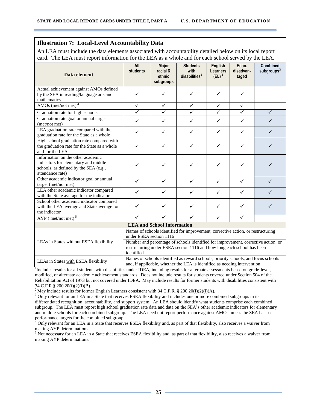#### **Illustration 7: Local-Level Accountability Data**

An LEA must include the data elements associated with accountability detailed below on its local report card. The LEA must report information for the LEA as a whole and for each school served by the LEA.

| Data element                                                                                                                           | All<br>students                                                                                                                                                                                                                                                              | <b>Major</b><br>racial &<br>ethnic<br>subgroups | <b>Students</b><br>with<br>disabilities <sup>1</sup> | <b>English</b><br><b>Learners</b><br>$(EL)^2$ | Econ.<br>disadvan-<br>taged | <b>Combined</b><br>subgroups $3$ |  |
|----------------------------------------------------------------------------------------------------------------------------------------|------------------------------------------------------------------------------------------------------------------------------------------------------------------------------------------------------------------------------------------------------------------------------|-------------------------------------------------|------------------------------------------------------|-----------------------------------------------|-----------------------------|----------------------------------|--|
| Actual achievement against AMOs defined<br>by the SEA in reading/language arts and<br>mathematics                                      | $\checkmark$                                                                                                                                                                                                                                                                 | $\checkmark$                                    | ✓                                                    | ✓                                             | ✓                           |                                  |  |
| AMOs (met/not met) <sup>4</sup>                                                                                                        | $\checkmark$                                                                                                                                                                                                                                                                 | $\checkmark$                                    | $\checkmark$                                         | $\checkmark$                                  | $\checkmark$                |                                  |  |
| Graduation rate for high schools                                                                                                       | $\checkmark$                                                                                                                                                                                                                                                                 | ✓                                               | $\checkmark$                                         | $\checkmark$                                  | $\checkmark$                | $\checkmark$                     |  |
| Graduation rate goal or annual target<br>(met/not met)                                                                                 | $\checkmark$                                                                                                                                                                                                                                                                 | $\checkmark$                                    | $\checkmark$                                         | $\checkmark$                                  | $\checkmark$                | ✓                                |  |
| LEA graduation rate compared with the<br>graduation rate for the State as a whole                                                      | $\checkmark$                                                                                                                                                                                                                                                                 | $\checkmark$                                    | $\checkmark$                                         | $\checkmark$                                  | $\checkmark$                | ✓                                |  |
| High school graduation rate compared with<br>the graduation rate for the State as a whole<br>and for the LEA                           | $\checkmark$                                                                                                                                                                                                                                                                 | ✓                                               | ✓                                                    | ✓                                             | ✓                           | ✓                                |  |
| Information on the other academic<br>indicators for elementary and middle<br>schools, as defined by the SEA (e.g.,<br>attendance rate) | ✓                                                                                                                                                                                                                                                                            | $\checkmark$                                    | $\checkmark$                                         | ✓                                             | $\checkmark$                | $\checkmark$                     |  |
| Other academic indicator goal or annual<br>target (met/not met)                                                                        | $\checkmark$                                                                                                                                                                                                                                                                 | $\checkmark$                                    | $\checkmark$                                         | $\checkmark$                                  | $\checkmark$                | $\checkmark$                     |  |
| LEA other academic indicator compared<br>with the State average for the indicator                                                      | $\checkmark$                                                                                                                                                                                                                                                                 | $\checkmark$                                    | $\checkmark$                                         | $\checkmark$                                  | $\checkmark$                | $\checkmark$                     |  |
| School other academic indicator compared<br>with the LEA average and State average for<br>the indicator                                | ✓                                                                                                                                                                                                                                                                            | ✓                                               | ✓                                                    | ✓                                             | ✓                           | ✓                                |  |
| $AYP$ (met/not met) <sup>5</sup>                                                                                                       | $\overline{\checkmark}$                                                                                                                                                                                                                                                      | $\checkmark$                                    | ✓                                                    | $\checkmark$                                  | $\overline{\checkmark}$     |                                  |  |
|                                                                                                                                        |                                                                                                                                                                                                                                                                              | <b>LEA and School Information</b>               |                                                      |                                               |                             |                                  |  |
| LEAs in States without ESEA flexibility                                                                                                | Names of schools identified for improvement, corrective action, or restructuring<br>under ESEA section 1116<br>Number and percentage of schools identified for improvement, corrective action, or<br>restructuring under ESEA section 1116 and how long each school has been |                                                 |                                                      |                                               |                             |                                  |  |
| LEAs in States with ESEA flexibility                                                                                                   | identified<br>Names of schools identified as reward schools, priority schools, and focus schools<br>and, if applicable, whether the LEA is identified as needing intervention                                                                                                |                                                 |                                                      |                                               |                             |                                  |  |

<sup>1</sup>Includes results for all students with disabilities under IDEA, including results for alternate assessments based on grade-level, modified, or alternate academic achievement standards. Does not include results for students covered under Section 504 of the Rehabilitation Act of 1973 but not covered under IDEA. May include results for former students with disabilities consistent with 34 C.F.R § 200.20(f)(2)(i)(B).

<sup>2</sup> May include results for former English Learners consistent with 34 C.F.R. § 200.20(f)(2)(i)(A).

<sup>3</sup> Only relevant for an LEA in a State that receives ESEA flexibility and includes one or more combined subgroups in its differentiated recognition, accountability, and support system. An LEA should identify what students comprise each combined subgroup. The LEA must report high school graduation rate data and data on the SEA's other academic indicators for elementary and middle schools for each combined subgroup. The LEA need not report performance against AMOs unless the SEA has set performance targets for the combined subgroup.

<sup>4</sup> Only relevant for an LEA in a State that receives ESEA flexibility and, as part of that flexibility, also receives a waiver from making AYP determinations.

 $<sup>5</sup>$  Not necessary for an LEA in a State that receives ESEA flexibility and, as part of that flexibility, also receives a waiver from</sup> making AYP determinations.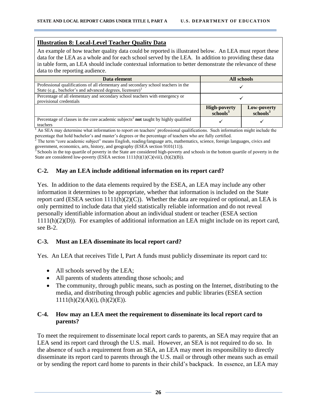#### **Illustration 8: Local-Level Teacher Quality Data**

An example of how teacher quality data could be reported is illustrated below. An LEA must report these data for the LEA as a whole and for each school served by the LEA. In addition to providing these data in table form, an LEA should include contextual information to better demonstrate the relevance of these data to the reporting audience.

| Data element                                                                                                                                                | All schools                                          |                                     |  |
|-------------------------------------------------------------------------------------------------------------------------------------------------------------|------------------------------------------------------|-------------------------------------|--|
| Professional qualifications of all elementary and secondary school teachers in the<br>State (e.g., bachelor's and advanced degrees, licensure) <sup>1</sup> |                                                      |                                     |  |
| Percentage of all elementary and secondary school teachers with emergency or<br>provisional credentials                                                     |                                                      |                                     |  |
|                                                                                                                                                             | <b>High-poverty</b><br>$\overline{\text{schools}}^3$ | Low-poverty<br>schools <sup>3</sup> |  |
| Percentage of classes in the core academic subjects <sup>2</sup> not taught by highly qualified<br>teachers                                                 |                                                      |                                     |  |

 $<sup>1</sup>$  An SEA may determine what information to report on teachers' professional qualifications. Such information might include the</sup> percentage that hold bachelor's and master's degrees or the percentage of teachers who are fully certified.

<sup>2</sup> The term "core academic subject" means English, reading/language arts, mathematics, science, foreign languages, civics and

government, economics, arts, history, and geography (ESEA section 9101(11)).<br><sup>3</sup> Schools in the top quartile of poverty in the State are considered high-poverty and schools in the bottom quartile of poverty in the State are considered low-poverty (ESEA section  $1111(h)(1)(C)(viii)$ ,  $(h)(2)(B)$ ).

#### <span id="page-25-0"></span>**C-2. May an LEA include additional information on its report card?**

Yes. In addition to the data elements required by the ESEA, an LEA may include any other information it determines to be appropriate, whether that information is included on the State report card (ESEA section  $1111(h)(2)(C)$ ). Whether the data are required or optional, an LEA is only permitted to include data that yield statistically reliable information and do not reveal personally identifiable information about an individual student or teacher (ESEA section 1111(h)(2)(D)). For examples of additional information an LEA might include on its report card, see B-2.

#### <span id="page-25-1"></span>**C-3. Must an LEA disseminate its local report card?**

Yes. An LEA that receives Title I, Part A funds must publicly disseminate its report card to:

- All schools served by the LEA;
- All parents of students attending those schools; and
- The community, through public means, such as posting on the Internet, distributing to the media, and distributing through public agencies and public libraries (ESEA section  $1111(h)(2)(A)(i)$ ,  $(h)(2)(E)$ ).

#### <span id="page-25-2"></span>**C-4. How may an LEA meet the requirement to disseminate its local report card to parents?**

To meet the requirement to disseminate local report cards to parents, an SEA may require that an LEA send its report card through the U.S. mail. However, an SEA is not required to do so. In the absence of such a requirement from an SEA, an LEA may meet its responsibility to directly disseminate its report card to parents through the U.S. mail or through other means such as email or by sending the report card home to parents in their child's backpack. In essence, an LEA may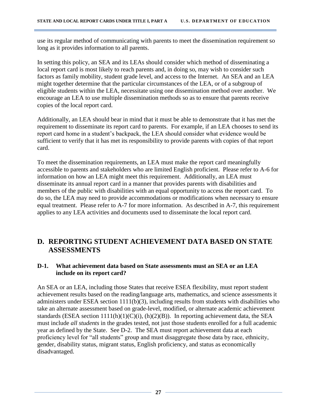use its regular method of communicating with parents to meet the dissemination requirement so long as it provides information to all parents.

In setting this policy, an SEA and its LEAs should consider which method of disseminating a local report card is most likely to reach parents and, in doing so, may wish to consider such factors as family mobility, student grade level, and access to the Internet. An SEA and an LEA might together determine that the particular circumstances of the LEA, or of a subgroup of eligible students within the LEA, necessitate using one dissemination method over another. We encourage an LEA to use multiple dissemination methods so as to ensure that parents receive copies of the local report card.

Additionally, an LEA should bear in mind that it must be able to demonstrate that it has met the requirement to disseminate its report card to parents. For example, if an LEA chooses to send its report card home in a student's backpack, the LEA should consider what evidence would be sufficient to verify that it has met its responsibility to provide parents with copies of that report card.

To meet the dissemination requirements, an LEA must make the report card meaningfully accessible to parents and stakeholders who are limited English proficient. Please refer to A-6 for information on how an LEA might meet this requirement. Additionally, an LEA must disseminate its annual report card in a manner that provides parents with disabilities and members of the public with disabilities with an equal opportunity to access the report card. To do so, the LEA may need to provide accommodations or modifications when necessary to ensure equal treatment. Please refer to A-7 for more information. As described in A-7, this requirement applies to any LEA activities and documents used to disseminate the local report card.

## <span id="page-26-0"></span>**D. REPORTING STUDENT ACHIEVEMENT DATA BASED ON STATE ASSESSMENTS**

#### <span id="page-26-1"></span>**D-1. What achievement data based on State assessments must an SEA or an LEA include on its report card?**

An SEA or an LEA, including those States that receive ESEA flexibility, must report student achievement results based on the reading/language arts, mathematics, and science assessments it administers under ESEA section 1111(b)(3), including results from students with disabilities who take an alternate assessment based on grade-level, modified, or alternate academic achievement standards (ESEA section  $1111(h)(1)(C)(i)$ ,  $(h)(2)(B)$ ). In reporting achievement data, the SEA must include *all students* in the grades tested, not just those students enrolled for a full academic year as defined by the State. See D-2. The SEA must report achievement data at each proficiency level for "all students" group and must disaggregate those data by race, ethnicity, gender, disability status, migrant status, English proficiency, and status as economically disadvantaged.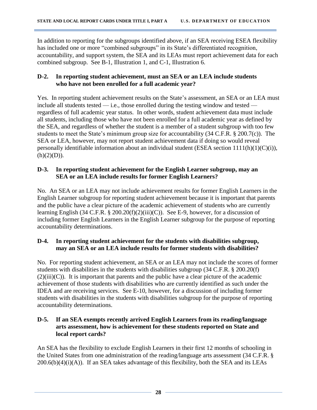In addition to reporting for the subgroups identified above, if an SEA receiving ESEA flexibility has included one or more "combined subgroups" in its State's differentiated recognition, accountability, and support system, the SEA and its LEAs must report achievement data for each combined subgroup. See B-1, Illustration 1, and C-1, Illustration 6.

#### <span id="page-27-0"></span>**D-2. In reporting student achievement, must an SEA or an LEA include students who have not been enrolled for a full academic year?**

Yes. In reporting student achievement results on the State's assessment, an SEA or an LEA must include all students tested  $-$  i.e., those enrolled during the testing window and tested  $$ regardless of full academic year status. In other words, student achievement data must include all students, including those who have not been enrolled for a full academic year as defined by the SEA, and regardless of whether the student is a member of a student subgroup with too few students to meet the State's minimum group size for accountability (34 C.F.R. § 200.7(c)). The SEA or LEA, however, may not report student achievement data if doing so would reveal personally identifiable information about an individual student (ESEA section 1111(h)(1)(C)(i)),  $(h)(2)(D)).$ 

#### <span id="page-27-1"></span>**D-3. In reporting student achievement for the English Learner subgroup, may an SEA or an LEA include results for former English Learners?**

No. An SEA or an LEA may not include achievement results for former English Learners in the English Learner subgroup for reporting student achievement because it is important that parents and the public have a clear picture of the academic achievement of students who are currently learning English (34 C.F.R. § 200.20(f)(2)(iii)(C)). See E-9, however, for a discussion of including former English Learners in the English Learner subgroup for the purpose of reporting accountability determinations.

#### <span id="page-27-2"></span>**D-4. In reporting student achievement for the students with disabilities subgroup, may an SEA or an LEA include results for former students with disabilities?**

No. For reporting student achievement, an SEA or an LEA may not include the scores of former students with disabilities in the students with disabilities subgroup (34 C.F.R. § 200.20(f)  $(2)(iii)(C)$ ). It is important that parents and the public have a clear picture of the academic achievement of those students with disabilities who are currently identified as such under the IDEA and are receiving services. See E-10, however, for a discussion of including former students with disabilities in the students with disabilities subgroup for the purpose of reporting accountability determinations.

#### <span id="page-27-3"></span>**D-5. If an SEA exempts recently arrived English Learners from its reading/language arts assessment, how is achievement for these students reported on State and local report cards?**

An SEA has the flexibility to exclude English Learners in their first 12 months of schooling in the United States from one administration of the reading/language arts assessment (34 C.F.R. §  $200.6(b)(4)(i)(A)$ . If an SEA takes advantage of this flexibility, both the SEA and its LEAs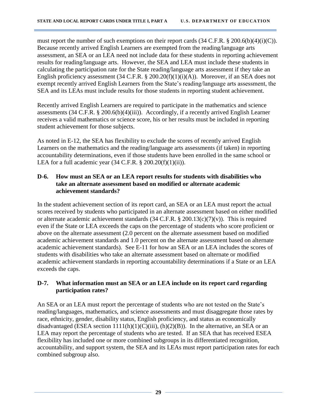must report the number of such exemptions on their report cards (34 C.F.R. § 200.6(b)(4)(i)(C)). Because recently arrived English Learners are exempted from the reading/language arts assessment, an SEA or an LEA need not include data for these students in reporting achievement results for reading/language arts. However, the SEA and LEA must include these students in calculating the participation rate for the State reading/language arts assessment if they take an English proficiency assessment (34 C.F.R. § 200.20(f)(1)(i)(A)). Moreover, if an SEA does not exempt recently arrived English Learners from the State's reading/language arts assessment, the SEA and its LEAs must include results for those students in reporting student achievement.

Recently arrived English Learners are required to participate in the mathematics and science assessments (34 C.F.R. § 200.6(b)(4)(iii)). Accordingly, if a recently arrived English Learner receives a valid mathematics or science score, his or her results must be included in reporting student achievement for those subjects.

As noted in E-12, the SEA has flexibility to exclude the scores of recently arrived English Learners on the mathematics and the reading/language arts assessments (if taken) in reporting accountability determinations, even if those students have been enrolled in the same school or LEA for a full academic year  $(34 \text{ C.F.R.} \S 200.20(f)(1)(ii))$ .

#### <span id="page-28-0"></span>**D-6. How must an SEA or an LEA report results for students with disabilities who take an alternate assessment based on modified or alternate academic achievement standards?**

In the student achievement section of its report card, an SEA or an LEA must report the actual scores received by students who participated in an alternate assessment based on either modified or alternate academic achievement standards (34 C.F.R. § 200.13(c)(7)(v)). This is required even if the State or LEA exceeds the caps on the percentage of students who score proficient or above on the alternate assessment (2.0 percent on the alternate assessment based on modified academic achievement standards and 1.0 percent on the alternate assessment based on alternate academic achievement standards). See E-11 for how an SEA or an LEA includes the scores of students with disabilities who take an alternate assessment based on alternate or modified academic achievement standards in reporting accountability determinations if a State or an LEA exceeds the caps.

#### <span id="page-28-1"></span>**D-7. What information must an SEA or an LEA include on its report card regarding participation rates?**

An SEA or an LEA must report the percentage of students who are not tested on the State's reading/languages, mathematics, and science assessments and must disaggregate those rates by race, ethnicity, gender, disability status, English proficiency, and status as economically disadvantaged (ESEA section  $1111(h)(1)(C)(iii)$ ,  $(h)(2)(B)$ ). In the alternative, an SEA or an LEA may report the percentage of students who are tested. If an SEA that has received ESEA flexibility has included one or more combined subgroups in its differentiated recognition, accountability, and support system, the SEA and its LEAs must report participation rates for each combined subgroup also.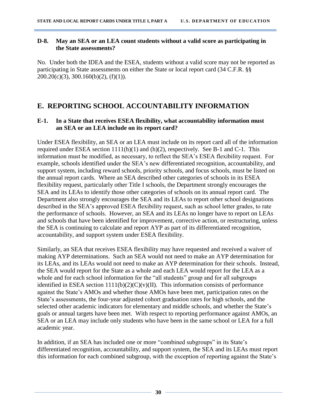#### <span id="page-29-0"></span>**D-8. May an SEA or an LEA count students without a valid score as participating in the State assessments?**

No. Under both the IDEA and the ESEA, students without a valid score may not be reported as participating in State assessments on either the State or local report card (34 C.F.R. §§  $200.20(c)(3), 300.160(b)(2), (f)(1)).$ 

# <span id="page-29-1"></span>**E. REPORTING SCHOOL ACCOUNTABILITY INFORMATION**

#### <span id="page-29-2"></span>**E-1. In a State that receives ESEA flexibility, what accountability information must an SEA or an LEA include on its report card?**

Under ESEA flexibility, an SEA or an LEA must include on its report card all of the information required under ESEA section 1111(h)(1) and (h)(2), respectively. See B-1 and C-1. This information must be modified, as necessary, to reflect the SEA's ESEA flexibility request. For example, schools identified under the SEA's new differentiated recognition, accountability, and support system, including reward schools, priority schools, and focus schools, must be listed on the annual report cards. Where an SEA described other categories of schools in its ESEA flexibility request, particularly other Title I schools, the Department strongly encourages the SEA and its LEAs to identify those other categories of schools on its annual report card. The Department also strongly encourages the SEA and its LEAs to report other school designations described in the SEA's approved ESEA flexibility request, such as school letter grades, to rate the performance of schools. However, an SEA and its LEAs no longer have to report on LEAs and schools that have been identified for improvement, corrective action, or restructuring, unless the SEA is continuing to calculate and report AYP as part of its differentiated recognition, accountability, and support system under ESEA flexibility.

Similarly, an SEA that receives ESEA flexibility may have requested and received a waiver of making AYP determinations. Such an SEA would not need to make an AYP determination for its LEAs, and its LEAs would not need to make an AYP determination for their schools. Instead, the SEA would report for the State as a whole and each LEA would report for the LEA as a whole and for each school information for the "all students" group and for all subgroups identified in ESEA section  $1111(b)(2)(C)(v)(II)$ . This information consists of performance against the State's AMOs and whether those AMOs have been met, participation rates on the State's assessments, the four-year adjusted cohort graduation rates for high schools, and the selected other academic indicators for elementary and middle schools, and whether the State's goals or annual targets have been met. With respect to reporting performance against AMOs, an SEA or an LEA may include only students who have been in the same school or LEA for a full academic year.

In addition, if an SEA has included one or more "combined subgroups" in its State's differentiated recognition, accountability, and support system, the SEA and its LEAs must report this information for each combined subgroup, with the exception of reporting against the State's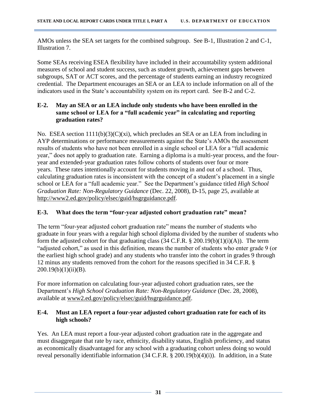AMOs unless the SEA set targets for the combined subgroup. See B-1, Illustration 2 and C-1, Illustration 7.

Some SEAs receiving ESEA flexibility have included in their accountability system additional measures of school and student success, such as student growth, achievement gaps between subgroups, SAT or ACT scores, and the percentage of students earning an industry recognized credential. The Department encourages an SEA or an LEA to include information on all of the indicators used in the State's accountability system on its report card. See B-2 and C-2.

#### <span id="page-30-0"></span>**E-2. May an SEA or an LEA include only students who have been enrolled in the same school or LEA for a "full academic year" in calculating and reporting graduation rates?**

No. ESEA section  $1111(b)(3)(C)(xi)$ , which precludes an SEA or an LEA from including in AYP determinations or performance measurements against the State's AMOs the assessment results of students who have not been enrolled in a single school or LEA for a "full academic year," does not apply to graduation rate. Earning a diploma is a multi-year process, and the fouryear and extended-year graduation rates follow cohorts of students over four or more years. These rates intentionally account for students moving in and out of a school. Thus, calculating graduation rates is inconsistent with the concept of a student's placement in a single school or LEA for a "full academic year." See the Department's guidance titled *High School Graduation Rate: Non-Regulatory Guidance* (Dec. 22, 2008), D-15, page 25, available at <http://www2.ed.gov/policy/elsec/guid/hsgrguidance.pdf>.

#### <span id="page-30-1"></span>**E-3. What does the term "four-year adjusted cohort graduation rate" mean?**

The term "four-year adjusted cohort graduation rate" means the number of students who graduate in four years with a regular high school diploma divided by the number of students who form the adjusted cohort for that graduating class  $(34 \text{ C.F.R.} \$ § 200.19(b)(1)(i)(A)). The term "adjusted cohort," as used in this definition, means the number of students who enter grade 9 (or the earliest high school grade) and any students who transfer into the cohort in grades 9 through 12 minus any students removed from the cohort for the reasons specified in 34 C.F.R. §  $200.19(b)(1)(ii)(B).$ 

For more information on calculating four-year adjusted cohort graduation rates, see the Department's *High School Graduation Rate: Non-Regulatory Guidance* (Dec. 28, 2008), available at [www2.ed.gov/policy/elsec/guid/hsgrguidance.pdf.](http://www.ed.gov/policy/elsec/guid/hsgrguidance.pdf)

#### <span id="page-30-2"></span>**E-4. Must an LEA report a four-year adjusted cohort graduation rate for each of its high schools?**

Yes. An LEA must report a four-year adjusted cohort graduation rate in the aggregate and must disaggregate that rate by race, ethnicity, disability status, English proficiency, and status as economically disadvantaged for any school with a graduating cohort unless doing so would reveal personally identifiable information (34 C.F.R. § 200.19(b)(4)(i)). In addition, in a State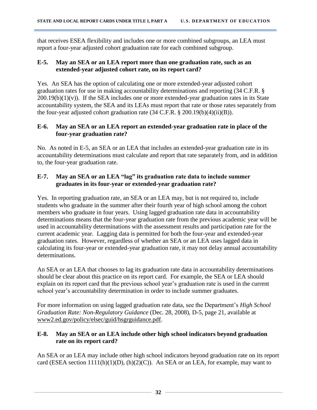that receives ESEA flexibility and includes one or more combined subgroups, an LEA must report a four-year adjusted cohort graduation rate for each combined subgroup.

#### <span id="page-31-0"></span>**E-5. May an SEA or an LEA report more than one graduation rate, such as an extended-year adjusted cohort rate, on its report card?**

Yes. An SEA has the option of calculating one or more extended-year adjusted cohort graduation rates for use in making accountability determinations and reporting (34 C.F.R. §  $200.19(b)(1)(v)$ . If the SEA includes one or more extended-year graduation rates in its State accountability system, the SEA and its LEAs must report that rate or those rates separately from the four-year adjusted cohort graduation rate  $(34 \text{ C.F.R.} \$   $200.19(b)(4)(ii)(B))$ .

#### <span id="page-31-1"></span>**E-6. May an SEA or an LEA report an extended-year graduation rate in place of the four-year graduation rate?**

No. As noted in E-5, an SEA or an LEA that includes an extended-year graduation rate in its accountability determinations must calculate and report that rate separately from, and in addition to, the four-year graduation rate.

#### <span id="page-31-2"></span>**E-7. May an SEA or an LEA "lag" its graduation rate data to include summer graduates in its four-year or extended-year graduation rate?**

Yes. In reporting graduation rate, an SEA or an LEA may, but is not required to, include students who graduate in the summer after their fourth year of high school among the cohort members who graduate in four years. Using lagged graduation rate data in accountability determinations means that the four-year graduation rate from the previous academic year will be used in accountability determinations with the assessment results and participation rate for the current academic year. Lagging data is permitted for both the four-year and extended-year graduation rates. However, regardless of whether an SEA or an LEA uses lagged data in calculating its four-year or extended-year graduation rate, it may not delay annual accountability determinations.

An SEA or an LEA that chooses to lag its graduation rate data in accountability determinations should be clear about this practice on its report card. For example, the SEA or LEA should explain on its report card that the previous school year's graduation rate is used in the current school year's accountability determination in order to include summer graduates.

For more information on using lagged graduation rate data, see the Department's *High School Graduation Rate: Non-Regulatory Guidance* (Dec. 28, 2008), D-5, page 21, available at [www2.ed.gov/policy/elsec/guid/hsgrguidance.pdf.](http://www.ed.gov/policy/elsec/guid/hsgrguidance.pdf)

#### <span id="page-31-3"></span>**E-8. May an SEA or an LEA include other high school indicators beyond graduation rate on its report card?**

An SEA or an LEA may include other high school indicators beyond graduation rate on its report card (ESEA section 1111(h)(1)(D), (h)(2)(C)). An SEA or an LEA, for example, may want to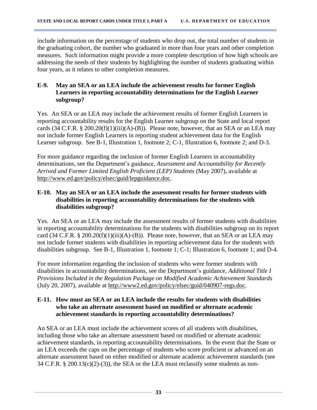include information on the percentage of students who drop out, the total number of students in the graduating cohort, the number who graduated in more than four years and other completion measures. Such information might provide a more complete description of how high schools are addressing the needs of their students by highlighting the number of students graduating within four years, as it relates to other completion measures.

#### <span id="page-32-0"></span>**E-9. May an SEA or an LEA include the achievement results for former English Learners in reporting accountability determinations for the English Learner subgroup?**

Yes. An SEA or an LEA may include the achievement results of former English Learners in reporting accountability results for the English Learner subgroup on the State and local report cards  $(34 \text{ C.F.R. } § 200.20(f)(1)(iii)(A)-(B))$ . Please note, however, that an SEA or an LEA may not include former English Learners in reporting student achievement data for the English Learner subgroup. See B-1, Illustration 1, footnote 2; C-1, Illustration 6, footnote 2; and D-3.

For more guidance regarding the inclusion of former English Learners in accountability determinations, see the Department's guidance, *Assessment and Accountability for Recently Arrived and Former Limited English Proficient (LEP) Students* (May 2007), available at [http://www.ed.gov/policy/elsec/guid/lepguidance.doc.](http://www.ed.gov/policy/elsec/guid/lepguidance.doc)

#### <span id="page-32-1"></span>**E-10. May an SEA or an LEA include the assessment results for former students with disabilities in reporting accountability determinations for the students with disabilities subgroup?**

Yes. An SEA or an LEA may include the assessment results of former students with disabilities in reporting accountability determinations for the students with disabilities subgroup on its report card (34 C.F.R. § 200.20(f)(1)(iii)(A)-(B)). Please note, however, that an SEA or an LEA may not include former students with disabilities in reporting achievement data for the students with disabilities subgroup. See B-1, Illustration 1, footnote 1; C-1; Illustration 6, footnote 1; and D-4.

For more information regarding the inclusion of students who were former students with disabilities in accountability determinations, see the Department's guidance, *Additional Title I Provisions Included in the Regulation Package on Modified Academic Achievement Standards* (July 20, 2007), available at [http://www2.ed.gov/policy/elsec/guid/040907-regs.doc.](http://www2.ed.gov/policy/elsec/guid/040907-regs.doc)

#### <span id="page-32-2"></span>**E-11. How must an SEA or an LEA include the results for students with disabilities who take an alternate assessment based on modified or alternate academic achievement standards in reporting accountability determinations?**

An SEA or an LEA must include the achievement scores of all students with disabilities, including those who take an alternate assessment based on modified or alternate academic achievement standards, in reporting accountability determinations. In the event that the State or an LEA exceeds the caps on the percentage of students who score proficient or advanced on an alternate assessment based on either modified or alternate academic achievement standards (see  $34$  C.F.R. § 200.13(c)(2)-(3)), the SEA or the LEA must reclassify some students as non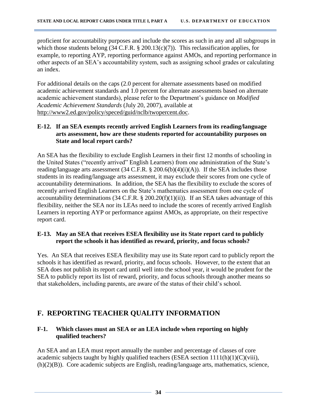proficient for accountability purposes and include the scores as such in any and all subgroups in which those students belong (34 C.F.R. § 200.13(c)(7)). This reclassification applies, for example, to reporting AYP, reporting performance against AMOs, and reporting performance in other aspects of an SEA's accountability system, such as assigning school grades or calculating an index.

For additional details on the caps (2.0 percent for alternate assessments based on modified academic achievement standards and 1.0 percent for alternate assessments based on alternate academic achievement standards), please refer to the Department's guidance on *Modified Academic Achievement Standards* (July 20, 2007), available at [http://www2.ed.gov/policy/speced/guid/nclb/twopercent.doc.](http://www2.ed.gov/policy/speced/guid/nclb/twopercent.doc)

#### <span id="page-33-0"></span>**E-12. If an SEA exempts recently arrived English Learners from its reading/language arts assessment, how are these students reported for accountability purposes on State and local report cards?**

An SEA has the flexibility to exclude English Learners in their first 12 months of schooling in the United States ("recently arrived" English Learners) from one administration of the State's reading/language arts assessment (34 C.F.R. § 200.6(b)(4)(i)(A)). If the SEA includes those students in its reading/language arts assessment, it may exclude their scores from one cycle of accountability determinations. In addition, the SEA has the flexibility to exclude the scores of recently arrived English Learners on the State's mathematics assessment from one cycle of accountability determinations (34 C.F.R. § 200.20(f)(1)(ii)). If an SEA takes advantage of this flexibility, neither the SEA nor its LEAs need to include the scores of recently arrived English Learners in reporting AYP or performance against AMOs, as appropriate, on their respective report card.

#### <span id="page-33-1"></span>**E-13. May an SEA that receives ESEA flexibility use its State report card to publicly report the schools it has identified as reward, priority, and focus schools?**

Yes. An SEA that receives ESEA flexibility may use its State report card to publicly report the schools it has identified as reward, priority, and focus schools. However, to the extent that an SEA does not publish its report card until well into the school year, it would be prudent for the SEA to publicly report its list of reward, priority, and focus schools through another means so that stakeholders, including parents, are aware of the status of their child's school.

# <span id="page-33-2"></span>**F. REPORTING TEACHER QUALITY INFORMATION**

#### <span id="page-33-3"></span>**F-1. Which classes must an SEA or an LEA include when reporting on highly qualified teachers?**

An SEA and an LEA must report annually the number and percentage of classes of core academic subjects taught by highly qualified teachers (ESEA section  $1111(h)(1)(C)(viii)$ , (h)(2)(B)). Core academic subjects are English, reading/language arts, mathematics, science,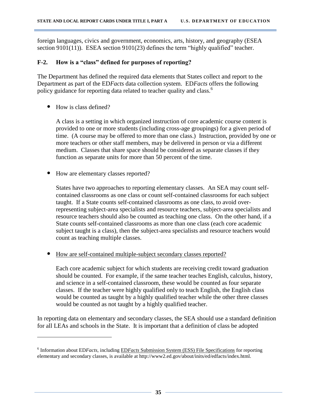foreign languages, civics and government, economics, arts, history, and geography (ESEA section 9101(11)). ESEA section 9101(23) defines the term "highly qualified" teacher.

#### <span id="page-34-0"></span>**F-2. How is a "class" defined for purposes of reporting?**

The Department has defined the required data elements that States collect and report to the Department as part of the ED*Facts* data collection system. ED*Facts* offers the following policy guidance for reporting data related to teacher quality and class.<sup>6</sup>

• How is class defined?

 $\overline{\phantom{a}}$ 

A class is a setting in which organized instruction of core academic course content is provided to one or more students (including cross-age groupings) for a given period of time. (A course may be offered to more than one class.) Instruction, provided by one or more teachers or other staff members, may be delivered in person or via a different medium. Classes that share space should be considered as separate classes if they function as separate units for more than 50 percent of the time.

• How are elementary classes reported?

States have two approaches to reporting elementary classes. An SEA may count selfcontained classrooms as one class or count self-contained classrooms for each subject taught. If a State counts self-contained classrooms as one class, to avoid overrepresenting subject-area specialists and resource teachers, subject-area specialists and resource teachers should also be counted as teaching one class. On the other hand, if a State counts self-contained classrooms as more than one class (each core academic subject taught is a class), then the subject-area specialists and resource teachers would count as teaching multiple classes.

• How are self-contained multiple-subject secondary classes reported?

Each core academic subject for which students are receiving credit toward graduation should be counted. For example, if the same teacher teaches English, calculus, history, and science in a self-contained classroom, these would be counted as four separate classes. If the teacher were highly qualified only to teach English, the English class would be counted as taught by a highly qualified teacher while the other three classes would be counted as not taught by a highly qualified teacher.

In reporting data on elementary and secondary classes, the SEA should use a standard definition for all LEAs and schools in the State. It is important that a definition of class be adopted

<sup>&</sup>lt;sup>6</sup> Information about ED*Facts*, including ED*Facts* [Submission System \(ESS\) File Specifications](http://www2.ed.gov/about/inits/ed/edfacts/file-specifications.html) for reporting elementary and secondary classes, is available at http://www2.ed.gov/about/inits/ed/edfacts/index.html.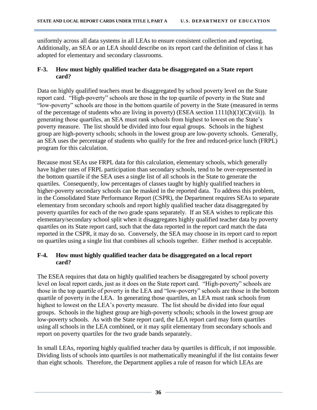uniformly across all data systems in all LEAs to ensure consistent collection and reporting. Additionally, an SEA or an LEA should describe on its report card the definition of class it has adopted for elementary and secondary classrooms.

#### <span id="page-35-0"></span>**F-3. How must highly qualified teacher data be disaggregated on a State report card?**

Data on highly qualified teachers must be disaggregated by school poverty level on the State report card. "High-poverty" schools are those in the top quartile of poverty in the State and "low-poverty" schools are those in the bottom quartile of poverty in the State (measured in terms of the percentage of students who are living in poverty) (ESEA section  $1111(h)(1)(C)(viii)$ ). In generating those quartiles, an SEA must rank schools from highest to lowest on the State's poverty measure. The list should be divided into four equal groups. Schools in the highest group are high-poverty schools; schools in the lowest group are low-poverty schools. Generally, an SEA uses the percentage of students who qualify for the free and reduced-price lunch (FRPL) program for this calculation.

Because most SEAs use FRPL data for this calculation, elementary schools, which generally have higher rates of FRPL participation than secondary schools, tend to be over-represented in the bottom quartile if the SEA uses a single list of all schools in the State to generate the quartiles. Consequently, low percentages of classes taught by highly qualified teachers in higher-poverty secondary schools can be masked in the reported data. To address this problem, in the Consolidated State Performance Report (CSPR), the Department requires SEAs to separate elementary from secondary schools and report highly qualified teacher data disaggregated by poverty quartiles for each of the two grade spans separately. If an SEA wishes to replicate this elementary/secondary school split when it disaggregates highly qualified teacher data by poverty quartiles on its State report card, such that the data reported in the report card match the data reported in the CSPR, it may do so. Conversely, the SEA may choose in its report card to report on quartiles using a single list that combines all schools together. Either method is acceptable.

#### <span id="page-35-1"></span>**F-4. How must highly qualified teacher data be disaggregated on a local report card?**

The ESEA requires that data on highly qualified teachers be disaggregated by school poverty level on local report cards, just as it does on the State report card. "High-poverty" schools are those in the top quartile of poverty in the LEA and "low-poverty" schools are those in the bottom quartile of poverty in the LEA. In generating those quartiles, an LEA must rank schools from highest to lowest on the LEA's poverty measure. The list should be divided into four equal groups. Schools in the highest group are high-poverty schools; schools in the lowest group are low-poverty schools. As with the State report card, the LEA report card may form quartiles using all schools in the LEA combined, or it may split elementary from secondary schools and report on poverty quartiles for the two grade bands separately.

In small LEAs, reporting highly qualified teacher data by quartiles is difficult, if not impossible. Dividing lists of schools into quartiles is not mathematically meaningful if the list contains fewer than eight schools. Therefore, the Department applies a rule of reason for which LEAs are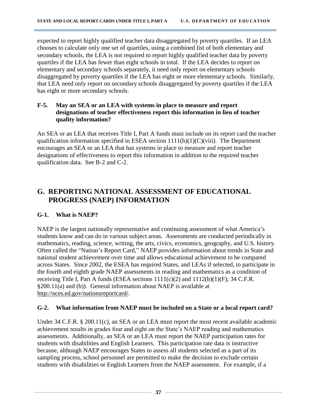expected to report highly qualified teacher data disaggregated by poverty quartiles. If an LEA chooses to calculate only one set of quartiles, using a combined list of both elementary and secondary schools, the LEA is not required to report highly qualified teacher data by poverty quartiles if the LEA has fewer than eight schools in total. If the LEA decides to report on elementary and secondary schools separately, it need only report on elementary schools disaggregated by poverty quartiles if the LEA has eight or more elementary schools. Similarly, that LEA need only report on secondary schools disaggregated by poverty quartiles if the LEA has eight or more secondary schools.

#### <span id="page-36-0"></span>**F-5. May an SEA or an LEA with systems in place to measure and report designations of teacher effectiveness report this information in lieu of teacher quality information?**

An SEA or an LEA that receives Title I, Part A funds must include on its report card the teacher qualification information specified in ESEA section  $1111(h)(1)(C)(viii)$ . The Department encourages an SEA or an LEA that has systems in place to measure and report teacher designations of effectiveness to report this information in addition to the required teacher qualification data. See B-2 and C-2.

# <span id="page-36-1"></span>**G. REPORTING NATIONAL ASSESSMENT OF EDUCATIONAL PROGRESS (NAEP) INFORMATION**

#### <span id="page-36-2"></span>**G-1. What is NAEP?**

NAEP is the largest nationally representative and continuing assessment of what America's students know and can do in various subject areas. Assessments are conducted periodically in mathematics, reading, science, writing, the arts, civics, economics, geography, and U.S. history. Often called the "Nation's Report Card," NAEP provides information about trends in State and national student achievement over time and allows educational achievement to be compared across States. Since 2002, the ESEA has required States, and LEAs if selected, to participate in the fourth and eighth grade NAEP assessments in reading and mathematics as a condition of receiving Title I, Part A funds (ESEA sections  $1111(c)(2)$  and  $1112(b)(1)(F)$ ; 34 C.F.R. §200.11(a) and (b)). General information about NAEP is available at [http://nces.ed.gov/nationsreportcard/.](http://nces.ed.gov/nationsreportcard/)

#### <span id="page-36-3"></span>**G-2. What information from NAEP must be included on a State or a local report card?**

Under 34 C.F.R. § 200.11(c), an SEA or an LEA must report the most recent available academic achievement results in grades four and eight on the State's NAEP reading and mathematics assessments. Additionally, an SEA or an LEA must report the NAEP participation rates for students with disabilities and English Learners. This participation rate data is instructive because, although NAEP encourages States to assess all students selected as a part of its sampling process, school personnel are permitted to make the decision to exclude certain students with disabilities or English Learners from the NAEP assessment. For example, if a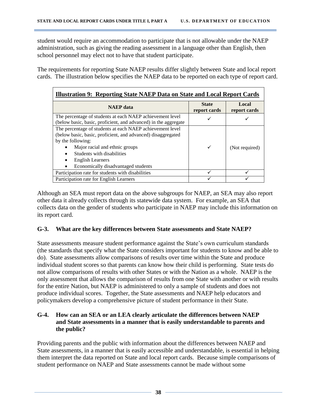student would require an accommodation to participate that is not allowable under the NAEP administration, such as giving the reading assessment in a language other than English, then school personnel may elect not to have that student participate.

The requirements for reporting State NAEP results differ slightly between State and local report cards. The illustration below specifies the NAEP data to be reported on each type of report card.

| <b>Illustration 9: Reporting State NAEP Data on State and Local Report Cards</b> |                              |                       |  |  |  |
|----------------------------------------------------------------------------------|------------------------------|-----------------------|--|--|--|
| <b>NAEP</b> data                                                                 | <b>State</b><br>report cards | Local<br>report cards |  |  |  |
| The percentage of students at each NAEP achievement level                        |                              |                       |  |  |  |
| (below basic, basic, proficient, and advanced) in the aggregate                  |                              |                       |  |  |  |
| The percentage of students at each NAEP achievement level                        |                              |                       |  |  |  |
| (below basic, basic, proficient, and advanced) disaggregated                     |                              |                       |  |  |  |
| by the following:                                                                |                              |                       |  |  |  |
| Major racial and ethnic groups                                                   | $\checkmark$                 | (Not required)        |  |  |  |
| Students with disabilities                                                       |                              |                       |  |  |  |
| <b>English Learners</b>                                                          |                              |                       |  |  |  |
| Economically disadvantaged students                                              |                              |                       |  |  |  |
| Participation rate for students with disabilities                                |                              |                       |  |  |  |
| Participation rate for English Learners                                          |                              |                       |  |  |  |

Although an SEA must report data on the above subgroups for NAEP, an SEA may also report other data it already collects through its statewide data system. For example, an SEA that collects data on the gender of students who participate in NAEP may include this information on its report card.

#### <span id="page-37-0"></span>**G-3. What are the key differences between State assessments and State NAEP?**

State assessments measure student performance against the State's own curriculum standards (the standards that specify what the State considers important for students to know and be able to do). State assessments allow comparisons of results over time within the State and produce individual student scores so that parents can know how their child is performing. State tests do not allow comparisons of results with other States or with the Nation as a whole. NAEP is the only assessment that allows the comparison of results from one State with another or with results for the entire Nation, but NAEP is administered to only a sample of students and does not produce individual scores. Together, the State assessments and NAEP help educators and policymakers develop a comprehensive picture of student performance in their State.

#### <span id="page-37-1"></span>**G-4. How can an SEA or an LEA clearly articulate the differences between NAEP and State assessments in a manner that is easily understandable to parents and the public?**

Providing parents and the public with information about the differences between NAEP and State assessments, in a manner that is easily accessible and understandable, is essential in helping them interpret the data reported on State and local report cards. Because simple comparisons of student performance on NAEP and State assessments cannot be made without some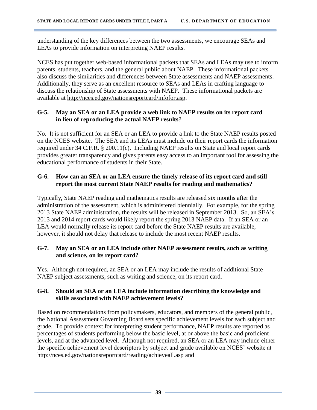understanding of the key differences between the two assessments, we encourage SEAs and LEAs to provide information on interpreting NAEP results.

NCES has put together web-based informational packets that SEAs and LEAs may use to inform parents, students, teachers, and the general public about NAEP. These informational packets also discuss the similarities and differences between State assessments and NAEP assessments. Additionally, they serve as an excellent resource to SEAs and LEAs in crafting language to discuss the relationship of State assessments with NAEP. These informational packets are available at [http://nces.ed.gov/nationsreportcard/infofor.asp.](http://nces.ed.gov/nationsreportcard/infofor.asp)

#### <span id="page-38-0"></span>**G-5. May an SEA or an LEA provide a web link to NAEP results on its report card in lieu of reproducing the actual NAEP results**?

No. It is not sufficient for an SEA or an LEA to provide a link to the State NAEP results posted on the NCES website. The SEA and its LEAs must include on their report cards the information required under 34 C.F.R. § 200.11(c). Including NAEP results on State and local report cards provides greater transparency and gives parents easy access to an important tool for assessing the educational performance of students in their State.

#### <span id="page-38-1"></span>**G-6. How can an SEA or an LEA ensure the timely release of its report card and still report the most current State NAEP results for reading and mathematics?**

Typically, State NAEP reading and mathematics results are released six months after the administration of the assessment, which is administered biennially. For example, for the spring 2013 State NAEP administration, the results will be released in September 2013. So, an SEA's 2013 and 2014 report cards would likely report the spring 2013 NAEP data. If an SEA or an LEA would normally release its report card before the State NAEP results are available, however, it should not delay that release to include the most recent NAEP results.

#### <span id="page-38-2"></span>**G-7. May an SEA or an LEA include other NAEP assessment results, such as writing and science, on its report card?**

Yes. Although not required, an SEA or an LEA may include the results of additional State NAEP subject assessments, such as writing and science, on its report card.

#### <span id="page-38-3"></span>**G-8. Should an SEA or an LEA include information describing the knowledge and skills associated with NAEP achievement levels?**

Based on recommendations from policymakers, educators, and members of the general public, the National Assessment Governing Board sets specific achievement levels for each subject and grade. To provide context for interpreting student performance, NAEP results are reported as percentages of students performing below the basic level, at or above the basic and proficient levels, and at the advanced level. Although not required, an SEA or an LEA may include either the specific achievement level descriptors by subject and grade available on NCES' website at <http://nces.ed.gov/nationsreportcard/reading/achieveall.asp> and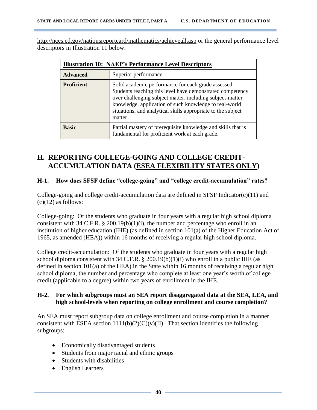<http://nces.ed.gov/nationsreportcard/mathematics/achieveall.asp> or the general performance level descriptors in Illustration 11 below.

| <b>Illustration 10: NAEP's Performance Level Descriptors</b> |                                                                                                                                                                                                                                                                                                                    |  |  |  |  |
|--------------------------------------------------------------|--------------------------------------------------------------------------------------------------------------------------------------------------------------------------------------------------------------------------------------------------------------------------------------------------------------------|--|--|--|--|
| <b>Advanced</b>                                              | Superior performance.                                                                                                                                                                                                                                                                                              |  |  |  |  |
| <b>Proficient</b>                                            | Solid academic performance for each grade assessed.<br>Students reaching this level have demonstrated competency<br>over challenging subject matter, including subject-matter<br>knowledge, application of such knowledge to real-world<br>situations, and analytical skills appropriate to the subject<br>matter. |  |  |  |  |
| <b>Basic</b>                                                 | Partial mastery of prerequisite knowledge and skills that is<br>fundamental for proficient work at each grade.                                                                                                                                                                                                     |  |  |  |  |

## <span id="page-39-1"></span><span id="page-39-0"></span>**H. REPORTING COLLEGE-GOING AND COLLEGE CREDIT- ACCUMULATION DATA (ESEA FLEXIBILITY STATES ONLY)**

#### <span id="page-39-2"></span>**H-1. How does SFSF define "college-going" and "college credit-accumulation" rates?**

College-going and college credit-accumulation data are defined in SFSF Indicator(c)(11) and  $(c)(12)$  as follows:

College-going: Of the students who graduate in four years with a regular high school diploma consistent with 34 C.F.R.  $\S$  200.19(b)(1)(i), the number and percentage who enroll in an institution of higher education (IHE) (as defined in section 101(a) of the Higher Education Act of 1965, as amended (HEA)) within 16 months of receiving a regular high school diploma.

College credit-accumulation: Of the students who graduate in four years with a regular high school diploma consistent with 34 C.F.R.  $\S$  200.19(b)(1)(i) who enroll in a public IHE (as defined in section 101(a) of the HEA) in the State within 16 months of receiving a regular high school diploma, the number and percentage who complete at least one year's worth of college credit (applicable to a degree) within two years of enrollment in the IHE.

#### <span id="page-39-3"></span>**H-2. For which subgroups must an SEA report disaggregated data at the SEA, LEA, and high school-levels when reporting on college enrollment and course completion?**

An SEA must report subgroup data on college enrollment and course completion in a manner consistent with ESEA section 1111(b)(2)(C)(v)(II). That section identifies the following subgroups:

- Economically disadvantaged students
- Students from major racial and ethnic groups
- Students with disabilities
- English Learners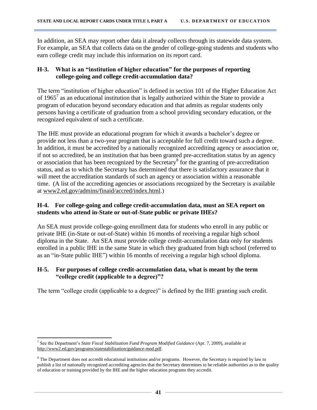In addition, an SEA may report other data it already collects through its statewide data system. For example, an SEA that collects data on the gender of college-going students and students who earn college credit may include this information on its report card.

#### <span id="page-40-0"></span>**H-3. What is an "institution of higher education" for the purposes of reporting college-going and college credit-accumulation data?**

The term "institution of higher education" is defined in section 101 of the Higher Education Act of 1965<sup>7</sup> as an educational institution that is legally authorized within the State to provide a program of education beyond secondary education and that admits as regular students only persons having a certificate of graduation from a school providing secondary education, or the recognized equivalent of such a certificate.

The IHE must provide an educational program for which it awards a bachelor's degree or provide not less than a two-year program that is acceptable for full credit toward such a degree. In addition, it must be accredited by a nationally recognized accrediting agency or association or, if not so accredited, be an institution that has been granted pre-accreditation status by an agency or association that has been recognized by the Secretary<sup>8</sup> for the granting of pre-accreditation status, and as to which the Secretary has determined that there is satisfactory assurance that it will meet the accreditation standards of such an agency or association within a reasonable time. (A list of the accrediting agencies or associations recognized by the Secretary is available at [www2.ed.gov/admins/finaid/accred/index.html.](http://www.ed.gov/admins/finaid/accred/index.html))

#### <span id="page-40-1"></span>**H-4. For college-going and college credit-accumulation data, must an SEA report on students who attend in-State or out-of-State public or private IHEs?**

An SEA must provide college-going enrollment data for students who enroll in any public or private IHE (in-State or out-of-State) within 16 months of receiving a regular high school diploma in the State. An SEA must provide college credit-accumulation data only for students enrolled in a public IHE in the same State in which they graduated from high school (referred to as an "in-State public IHE") within 16 months of receiving a regular high school diploma.

#### <span id="page-40-2"></span>**H-5. For purposes of college credit-accumulation data, what is meant by the term "college credit (applicable to a degree)"?**

The term "college credit (applicable to a degree)" is defined by the IHE granting such credit.

 $\overline{\phantom{a}}$ 7 See the Department's *State Fiscal Stabilization Fund Program Modified Guidance* (Apr. 7, 2009), available at [http://www2.ed.gov/programs/statestabilization/guidance-mod.pdf.](http://www2.ed.gov/programs/statestabilization/guidance-mod.pdf)

<sup>&</sup>lt;sup>8</sup> The Department does not accredit educational institutions and/or programs. However, the Secretary is required by law to publish a list of nationally recognized accrediting agencies that the Secretary determines to be reliable authorities as to the quality of education or training provided by the IHE and the higher education programs they accredit.